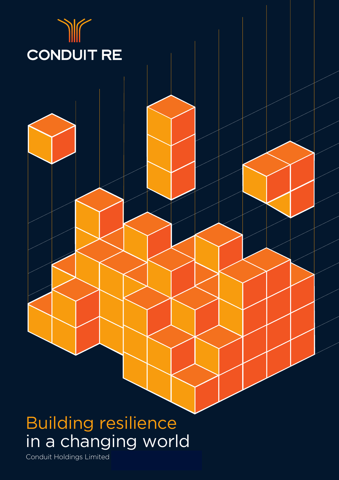

# Conduit Reinsurance Annual Report 2021 in a changing world

Conduit Holdings Limited Annual Report 2021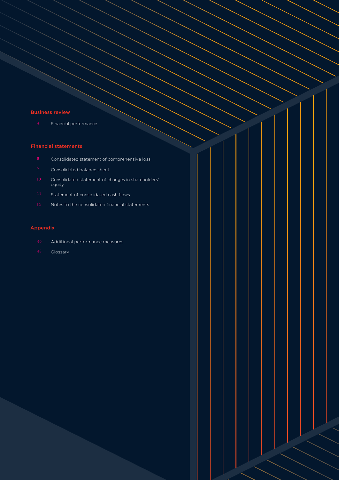### Business review

4 Financial performance

### Financial statements

- Consolidated statement of comprehensive loss
- Consolidated balance sheet
- Consolidated statement of changes in shareholders' equity
- Statement of consolidated cash flows
- Notes to the consolidated financial statements

### Appendix

- Additional performance measures
- **Glossary**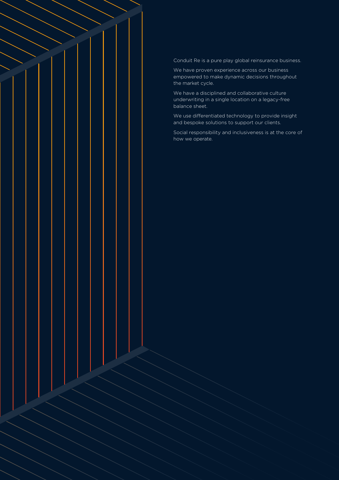Conduit Re is a pure play global reinsurance business.

 $\leq$  strategic reports the  $\leq$ 

We have proven experience across our business empowered to make dynamic decisions throughout the market cycle.

We have a disciplined and collaborative culture underwriting in a single location on a legacy-free balance sheet.

We use differentiated technology to provide insight and bespoke solutions to support our clients.

Social responsibility and inclusiveness is at the core of how we operate.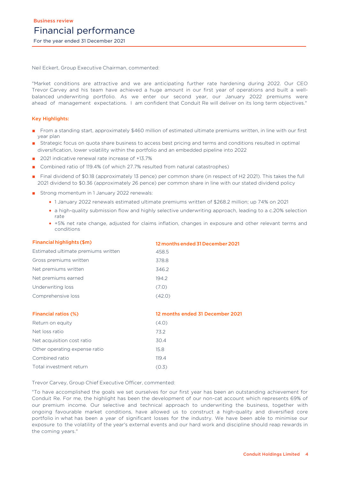Neil Eckert, Group Executive Chairman, commented:

"Market conditions are attractive and we are anticipating further rate hardening during 2022. Our CEO Trevor Carvey and his team have achieved a huge amount in our first year of operations and built a wellbalanced underwriting portfolio. As we enter our second year, our January 2022 premiums were ahead of management expectations. I am confident that Conduit Re will deliver on its long term objectives."

### Key Highlights:

- From a standing start, approximately \$460 million of estimated ultimate premiums written, in line with our first year plan
- Strategic focus on quota share business to access best pricing and terms and conditions resulted in optimal diversification, lower volatility within the portfolio and an embedded pipeline into 2022
- 2021 indicative renewal rate increase of +13.7%
- Combined ratio of 119.4% (of which 27.7% resulted from natural catastrophes)
- Final dividend of \$0.18 (approximately 13 pence) per common share (in respect of H2 2021). This takes the full 2021 dividend to \$0.36 (approximately 26 pence) per common share in line with our stated dividend policy
- Strong momentum in 1 January 2022 renewals:
	- 1 January 2022 renewals estimated ultimate premiums written of \$268.2 million; up 74% on 2021
	- a high-quality submission flow and highly selective underwriting approach, leading to a c.20% selection rate
	- +5% net rate change, adjusted for claims inflation, changes in exposure and other relevant terms and conditions

| Financial highlights (\$m)          | 12 months ended 31 December 2021 |
|-------------------------------------|----------------------------------|
| Estimated ultimate premiums written | 458.5                            |
| Gross premiums written              | 378.8                            |
| Net premiums written                | 346.2                            |
| Net premiums earned                 | 194.2                            |
| Underwriting loss                   | (7.0)                            |
| Comprehensive loss                  | (42.0)                           |
|                                     |                                  |

| <b>Financial ratios (%)</b>   | 12 months ended 31 December 2021 |
|-------------------------------|----------------------------------|
| Return on equity              | (4.0)                            |
| Net loss ratio                | 73.2                             |
| Net acquisition cost ratio    | 30.4                             |
| Other operating expense ratio | 15.8                             |
| Combined ratio                | 119.4                            |
| Total investment return       | (0.3)                            |

Trevor Carvey, Group Chief Executive Officer, commented:

"To have accomplished the goals we set ourselves for our first year has been an outstanding achievement for Conduit Re. For me, the highlight has been the development of our non-cat account which represents 69% of our premium income. Our selective and technical approach to underwriting the business, together with ongoing favourable market conditions, have allowed us to construct a high-quality and diversified core portfolio in what has been a year of significant losses for the industry. We have been able to minimise our exposure to the volatility of the year's external events and our hard work and discipline should reap rewards in the coming years."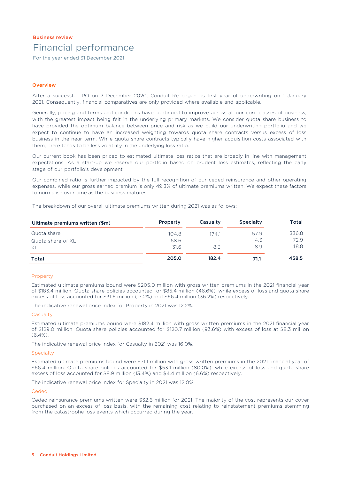## Business review Financial performance

For the year ended 31 December 2021

### **Overview**

After a successful IPO on 7 December 2020, Conduit Re began its first year of underwriting on 1 January 2021. Consequently, financial comparatives are only provided where available and applicable.

Generally, pricing and terms and conditions have continued to improve across all our core classes of business, with the greatest impact being felt in the underlying primary markets. We consider quota share business to have provided the optimum balance between price and risk as we build our underwriting portfolio and we expect to continue to have an increased weighting towards quota share contracts versus excess of loss business in the near term. While quota share contracts typically have higher acquisition costs associated with them, there tends to be less volatility in the underlying loss ratio.

Our current book has been priced to estimated ultimate loss ratios that are broadly in line with management expectations. As a start-up we reserve our portfolio based on prudent loss estimates, reflecting the early stage of our portfolio's development.

Our combined ratio is further impacted by the full recognition of our ceded reinsurance and other operating expenses, while our gross earned premium is only 49.3% of ultimate premiums written. We expect these factors to normalise over time as the business matures.

The breakdown of our overall ultimate premiums written during 2021 was as follows:

| Ultimate premiums written (\$m) | Property | Casualty | <b>Specialty</b> | Total |
|---------------------------------|----------|----------|------------------|-------|
| Quota share                     | 104.8    | 174.1    | 57.9             | 336.8 |
| Quota share of XL               | 68.6     |          | 4.3              | 72.9  |
| XL                              | 31.6     | 8.3      | 8.9              | 48.8  |
| Total                           | 205.0    | 182.4    | 71.1             | 458.5 |

### Property

Estimated ultimate premiums bound were \$205.0 million with gross written premiums in the 2021 financial year of \$183.4 million. Quota share policies accounted for \$85.4 million (46.6%), while excess of loss and quota share excess of loss accounted for \$31.6 million (17.2%) and \$66.4 million (36.2%) respectively.

The indicative renewal price index for Property in 2021 was 12.2%.

#### **Casualty**

Estimated ultimate premiums bound were \$182.4 million with gross written premiums in the 2021 financial year of \$129.0 million. Quota share policies accounted for \$120.7 million (93.6%) with excess of loss at \$8.3 million  $(6.4\%)$ 

The indicative renewal price index for Casualty in 2021 was 16.0%.

#### **Specialty**

Estimated ultimate premiums bound were \$71.1 million with gross written premiums in the 2021 financial year of \$66.4 million. Quota share policies accounted for \$53.1 million (80.0%), while excess of loss and quota share excess of loss accounted for \$8.9 million (13.4%) and \$4.4 million (6.6%) respectively.

The indicative renewal price index for Specialty in 2021 was 12.0%.

#### Ceded

Ceded reinsurance premiums written were \$32.6 million for 2021. The majority of the cost represents our cover purchased on an excess of loss basis, with the remaining cost relating to reinstatement premiums stemming from the catastrophe loss events which occurred during the year.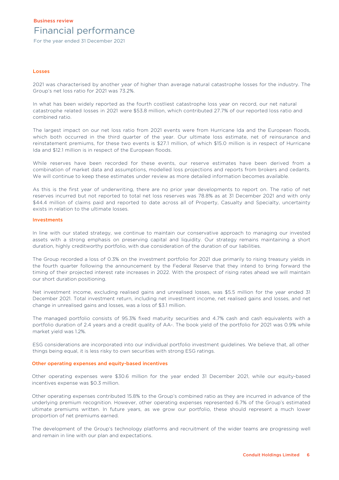## Business review Financial performance

For the year ended 31 December 2021

#### Losses

2021 was characterised by another year of higher than average natural catastrophe losses for the industry. The Group's net loss ratio for 2021 was 73.2%.

In what has been widely reported as the fourth costliest catastrophe loss year on record, our net natural catastrophe related losses in 2021 were \$53.8 million, which contributed 27.7% of our reported loss ratio and combined ratio.

The largest impact on our net loss ratio from 2021 events were from Hurricane Ida and the European floods, which both occurred in the third quarter of the year. Our ultimate loss estimate, net of reinsurance and reinstatement premiums, for these two events is \$27.1 million, of which \$15.0 million is in respect of Hurricane Ida and \$12.1 million is in respect of the European floods.

While reserves have been recorded for these events, our reserve estimates have been derived from a combination of market data and assumptions, modelled loss projections and reports from brokers and cedants. We will continue to keep these estimates under review as more detailed information becomes available.

As this is the first year of underwriting, there are no prior year developments to report on. The ratio of net reserves incurred but not reported to total net loss reserves was 78.8% as at 31 December 2021 and with only \$44.4 million of claims paid and reported to date across all of Property, Casualty and Specialty, uncertainty exists in relation to the ultimate losses.

#### Investments

In line with our stated strategy, we continue to maintain our conservative approach to managing our invested assets with a strong emphasis on preserving capital and liquidity. Our strategy remains maintaining a short duration, highly creditworthy portfolio, with due consideration of the duration of our liabilities.

The Group recorded a loss of 0.3% on the investment portfolio for 2021 due primarily to rising treasury yields in the fourth quarter following the announcement by the Federal Reserve that they intend to bring forward the timing of their projected interest rate increases in 2022. With the prospect of rising rates ahead we will maintain our short duration positioning.

Net investment income, excluding realised gains and unrealised losses, was \$5.5 million for the year ended 31 December 2021. Total investment return, including net investment income, net realised gains and losses, and net change in unrealised gains and losses, was a loss of \$3.1 million.

The managed portfolio consists of 95.3% fixed maturity securities and 4.7% cash and cash equivalents with a portfolio duration of 2.4 years and a credit quality of AA-. The book yield of the portfolio for 2021 was 0.9% while market yield was 1.2%.

ESG considerations are incorporated into our individual portfolio investment guidelines. We believe that, all other things being equal, it is less risky to own securities with strong ESG ratings.

#### Other operating expenses and equity-based incentives

Other operating expenses were \$30.6 million for the year ended 31 December 2021, while our equity-based incentives expense was \$0.3 million.

Other operating expenses contributed 15.8% to the Group's combined ratio as they are incurred in advance of the underlying premium recognition. However, other operating expenses represented 6.7% of the Group's estimated ultimate premiums written. In future years, as we grow our portfolio, these should represent a much lower proportion of net premiums earned.

The development of the Group's technology platforms and recruitment of the wider teams are progressing well and remain in line with our plan and expectations.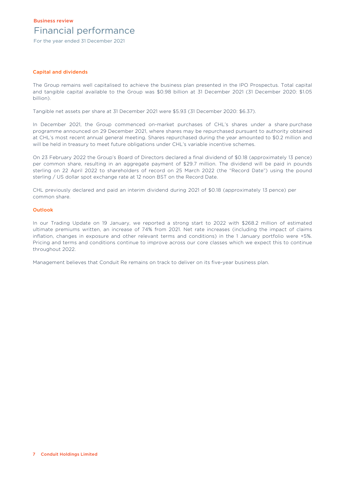## Business review Financial performance

For the year ended 31 December 2021

### Capital and dividends

The Group remains well capitalised to achieve the business plan presented in the IPO Prospectus. Total capital and tangible capital available to the Group was \$0.98 billion at 31 December 2021 (31 December 2020: \$1.05 billion).

Tangible net assets per share at 31 December 2021 were \$5.93 (31 December 2020: \$6.37).

In December 2021, the Group commenced on-market purchases of CHL's shares under a share purchase programme announced on 29 December 2021, where shares may be repurchased pursuant to authority obtained at CHL's most recent annual general meeting. Shares repurchased during the year amounted to \$0.2 million and will be held in treasury to meet future obligations under CHL's variable incentive schemes.

On 23 February 2022 the Group's Board of Directors declared a final dividend of \$0.18 (approximately 13 pence) per common share, resulting in an aggregate payment of \$29.7 million. The dividend will be paid in pounds sterling on 22 April 2022 to shareholders of record on 25 March 2022 (the "Record Date") using the pound sterling / US dollar spot exchange rate at 12 noon BST on the Record Date.

CHL previously declared and paid an interim dividend during 2021 of \$0.18 (approximately 13 pence) per common share.

### **Outlook**

In our Trading Update on 19 January, we reported a strong start to 2022 with \$268.2 million of estimated ultimate premiums written, an increase of 74% from 2021. Net rate increases (including the impact of claims inflation, changes in exposure and other relevant terms and conditions) in the 1 January portfolio were +5%. Pricing and terms and conditions continue to improve across our core classes which we expect this to continue throughout 2022.

Management believes that Conduit Re remains on track to deliver on its five-year business plan.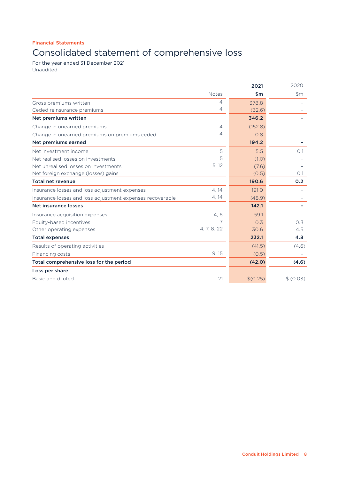# Consolidated statement of comprehensive loss

For the year ended 31 December 2021 Unaudited

|                                                           |              | 2021     | 2020      |
|-----------------------------------------------------------|--------------|----------|-----------|
|                                                           | <b>Notes</b> | \$m      | \$m\$     |
| Gross premiums written                                    | 4            | 378.8    |           |
| Ceded reinsurance premiums                                | 4            | (32.6)   |           |
| Net premiums written                                      |              | 346.2    |           |
| Change in unearned premiums                               | 4            | (152.8)  |           |
| Change in unearned premiums on premiums ceded             | 4            | O.8      |           |
| Net premiums earned                                       |              | 194.2    |           |
| Net investment income                                     | 5            | 5.5      | O.1       |
| Net realised losses on investments                        | 5            | (1.0)    |           |
| Net unrealised losses on investments                      | 5, 12        | (7.6)    |           |
| Net foreign exchange (losses) gains                       |              | (0.5)    | O.1       |
| <b>Total net revenue</b>                                  |              | 190.6    | 0.2       |
| Insurance losses and loss adjustment expenses             | 4.14         | 191.0    |           |
| Insurance losses and loss adjustment expenses recoverable | 4, 14        | (48.9)   |           |
| Net insurance losses                                      |              | 142.1    |           |
| Insurance acquisition expenses                            | 4, 6         | 59.1     |           |
| Equity-based incentives                                   | 7            | 0.3      | 0.3       |
| Other operating expenses                                  | 4, 7, 8, 22  | 30.6     | 4.5       |
| <b>Total expenses</b>                                     |              | 232.1    | 4.8       |
| Results of operating activities                           |              | (41.5)   | (4.6)     |
| Financing costs                                           | 9,15         | (0.5)    |           |
| Total comprehensive loss for the period                   |              | (42.0)   | (4.6)     |
| Loss per share                                            |              |          |           |
| Basic and diluted                                         | 21           | \$(0.25) | \$ (0.03) |
|                                                           |              |          |           |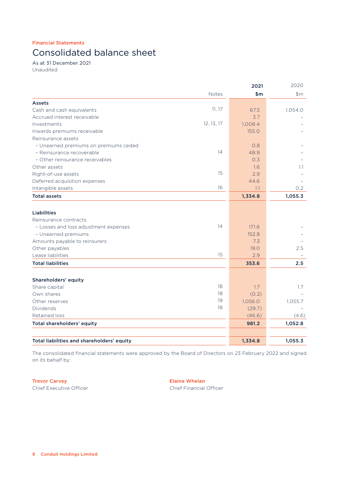# Consolidated balance sheet

As at 31 December 2021 Unaudited

| 2021                                        |         | 2020          |
|---------------------------------------------|---------|---------------|
| <b>Notes</b>                                | \$m     | \$m           |
| Assets                                      |         |               |
| 11, 17<br>Cash and cash equivalents         | 67.5    | 1,054.0       |
| Accrued interest receivable                 | 3.7     |               |
| 12, 13, 17<br>Investments                   | 1,008.4 |               |
| Inwards premiums receivable                 | 155.0   |               |
| Reinsurance assets                          |         |               |
| - Unearned premiums on premiums ceded       | 0.8     |               |
| 14<br>- Reinsurance recoverable             | 48.9    |               |
| - Other reinsurance receivables             | 0.3     |               |
| Other assets                                | 1.6     | $1.1^{\circ}$ |
| 15<br>Right-of-use assets                   | 2.9     |               |
| Deferred acquisition expenses               | 44.6    |               |
| 16<br>Intangible assets                     | 1.1     | 0.2           |
| <b>Total assets</b>                         | 1,334.8 | 1,055.3       |
| <b>Liabilities</b>                          |         |               |
| Reinsurance contracts                       |         |               |
| 14<br>- Losses and loss adjustment expenses | 171.6   |               |
| - Unearned premiums                         | 152.8   |               |
| Amounts payable to reinsurers               | 7.3     |               |
| Other payables                              | 19.0    | 2.5           |
| 15<br>Lease liabilities                     | 2.9     |               |
| <b>Total liabilities</b>                    | 353.6   | 2.5           |
| Shareholders' equity                        |         |               |
| 18<br>Share capital                         | 1.7     | 1.7           |
| 18<br>Own shares                            | (0.2)   |               |
| 19<br>Other reserves                        | 1,056.0 | 1,055.7       |
| 18<br>Dividends                             | (29.7)  |               |
| <b>Retained loss</b>                        | (46.6)  | (4.6)         |
| Total shareholders' equity                  | 981.2   | 1,052.8       |
|                                             |         |               |
| Total liabilities and shareholders' equity  | 1,334.8 | 1,055.3       |

The consolidated financial statements were approved by the Board of Directors on 23 February 2022 and signed on its behalf by:

Trevor Carvey **Elaine Whelan** Chief Executive Officer Chief Financial Officer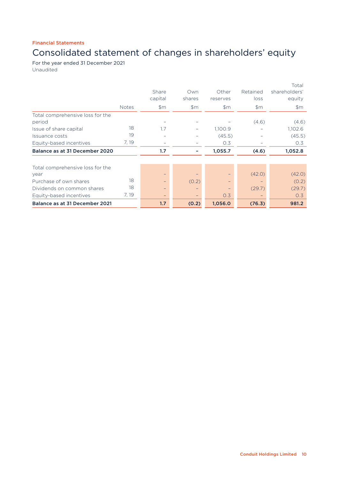# Consolidated statement of changes in shareholders' equity

For the year ended 31 December 2021 Unaudited

|                                  |              | Share<br>capital | Own<br>shares | Other<br>reserves | Retained<br>loss | Total<br>shareholders'<br>equity |
|----------------------------------|--------------|------------------|---------------|-------------------|------------------|----------------------------------|
|                                  | <b>Notes</b> | \$m\$            | \$m\$         | \$m\$             | \$m\$            | \$m\$                            |
| Total comprehensive loss for the |              |                  |               |                   |                  |                                  |
| period                           |              |                  |               |                   | (4.6)            | (4.6)                            |
| Issue of share capital           | 18           | 1.7              |               | 1,100.9           |                  | 1,102.6                          |
| Issuance costs                   | 19           |                  |               | (45.5)            |                  | (45.5)                           |
| Equity-based incentives          | 7, 19        |                  |               | 0.3               |                  | 0.3                              |
| Balance as at 31 December 2020   |              | 1.7              |               | 1,055.7           | (4.6)            | 1,052.8                          |
| Total comprehensive loss for the |              |                  |               |                   |                  |                                  |
| year                             |              | -                |               |                   | (42.0)           | (42.0)                           |
| Purchase of own shares           | 18           | -                | (0.2)         |                   |                  | (0.2)                            |
| Dividends on common shares       | 18           |                  |               |                   | (29.7)           | (29.7)                           |
| Equity-based incentives          | 7, 19        | $-$              |               | 0.3               |                  | 0.3                              |
| Balance as at 31 December 2021   |              | 1.7              | (0.2)         | 1,056.0           | (76.3)           | 981.2                            |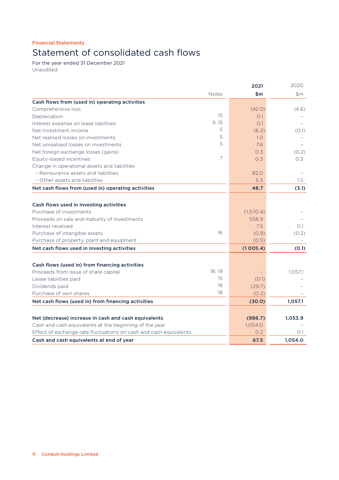# Statement of consolidated cash flows

For the year ended 31 December 2021 Unaudited

|                                                                   | 2021      | 2020    |
|-------------------------------------------------------------------|-----------|---------|
| <b>Notes</b>                                                      | \$m       | \$m\$   |
| Cash flows from (used in) operating activities                    |           |         |
| Comprehensive loss                                                | (42.0)    | (4.6)   |
| 15<br>Depreciation                                                | O.1       |         |
| 9, 15<br>Interest expense on lease liabilities                    | O.1       |         |
| 5<br>Net investment income                                        | (6.2)     | (0.1)   |
| 5<br>Net realised losses on investments                           | 1.0       |         |
| 5<br>Net unrealised losses on investments                         | 7.6       |         |
| Net foreign exchange losses (gains)                               | 0.3       | (0.2)   |
| 7<br>Equity-based incentives                                      | 0.3       | 0.3     |
| Change in operational assets and liabilities                      |           |         |
| - Reinsurance assets and liabilities                              | 82.0      |         |
| - Other assets and liabilities                                    | 5.5       | 1.5     |
| Net cash flows from (used in) operating activities                | 48.7      | (3.1)   |
|                                                                   |           |         |
| Cash flows used in investing activities                           |           |         |
| Purchase of investments                                           | (1,570.4) |         |
| Proceeds on sale and maturity of investments                      | 558.9     |         |
| Interest received                                                 | 7.5       | 0.1     |
| 16<br>Purchase of intangible assets                               | (0.9)     | (0.2)   |
| Purchase of property, plant and equipment                         | (0.5)     |         |
| Net cash flows used in investing activities                       | (1005.4)  | (0.1)   |
| Cash flows (used in) from financing activities                    |           |         |
| 18, 19<br>Proceeds from issue of share capital                    |           | 1,057.1 |
| 15<br>Lease liabilities paid                                      | (0.1)     |         |
| 18<br>Dividends paid                                              | (29.7)    |         |
| 18<br>Purchase of own shares                                      | (0.2)     |         |
| Net cash flows (used in) from financing activities                | (30.0)    | 1,057.1 |
|                                                                   |           |         |
| Net (decrease) increase in cash and cash equivalents              | (986.7)   | 1,053.9 |
| Cash and cash equivalents at the beginning of the year            | 1,054.0   |         |
| Effect of exchange rate fluctuations on cash and cash equivalents | 0.2       | O.1     |
| Cash and cash equivalents at end of year                          | 67.5      | 1,054.0 |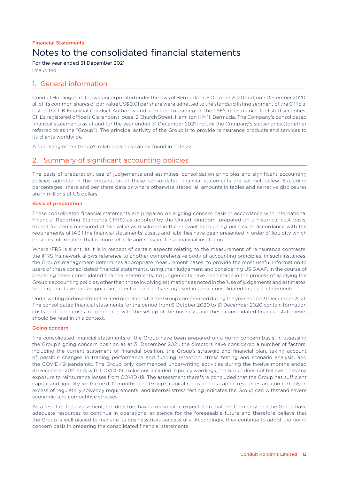# Notes to the consolidated financial statements financial statements

For the year ended 31 December 2021

Unaudited

### 1. General information

Conduit Holdings Limited was incorporated under the laws of Bermuda on 6 October 2020 and, on 7 December 2020, all of its common shares of par value US\$0.01 per share were admitted to the standard listing segment of the Official List of the UK Financial Conduct Authority and admitted to trading on the LSE's main market for listed securities. CHL's registered office is Clarendon House, 2 Church Street, Hamilton HM 11, Bermuda. The Company's consolidated financial statements as at and for the year ended 31 December 2021 include the Company's subsidiaries (together referred to as the "Group"). The principal activity of the Group is to provide reinsurance products and services to its clients worldwide.

A full listing of the Group's related parties can be found in note 22.

### 2. Summary of significant accounting policies

The basis of preparation, use of judgements and estimates, consolidation principles and significant accounting policies adopted in the preparation of these consolidated financial statements are set out below. Excluding percentages, share and per share data or where otherwise stated, all amounts in tables and narrative disclosures are in millions of US dollars.

### Basis of preparation

These consolidated financial statements are prepared on a going concern basis in accordance with International Financial Reporting Standards (IFRS) as adopted by the United Kingdom, prepared on a historical cost basis, except for items measured at fair value as disclosed in the relevant accounting policies. In accordance with the requirements of IAS 1 the financial statements' assets and liabilities have been presented in order of liquidity which provides information that is more reliable and relevant for a financial institution.

Where IFRS is silent, as it is in respect of certain aspects relating to the measurement of reinsurance contracts, the IFRS framework allows reference to another comprehensive body of accounting principles. In such instances, the Group's management determines appropriate measurement bases, to provide the most useful information to users of these consolidated financial statements, using their judgement and considering US GAAP. In the course of preparing these consolidated financial statements, no judgements have been made in the process of applying the Group's accounting policies, other than those involving estimations as noted in the 'Use of judgements and estimates' section, that have had a significant effect on amounts recognised in these consolidated financial statements.

Underwriting and investment related operations for the Group commenced during the year ended 31 December 2021. The consolidated financial statements for the period from 6 October 2020 to 31 December 2020 contain formation costs and other costs in connection with the set-up of the business, and these consolidated financial statements should be read in this context.

### Going concern

The consolidated financial statements of the Group have been prepared on a going concern basis. In assessing the Group's going concern position as at 31 December 2021, the directors have considered a number of factors, including the current statement of financial position, the Group's strategic and financial plan, taking account of possible changes in trading performance and funding retention, stress testing and scenario analysis, and the COVID-19 pandemic. The Group only commenced underwriting activities during the twelve months ended 31 December 2021 and, with COVID-19 exclusions included in policy wordings, the Group does not believe it has any exposure to reinsurance losses from COVID-19. The assessment therefore concluded that the Group has sufficient capital and liquidity for the next 12 months. The Group's capital ratios and its capital resources are comfortably in excess of regulatory solvency requirements, and internal stress testing indicates the Group can withstand severe economic and competitive stresses.

As a result of the assessment, the directors have a reasonable expectation that the Company and the Group have adequate resources to continue in operational existence for the foreseeable future and therefore believe that the Group is well placed to manage its business risks successfully. Accordingly, they continue to adopt the going concern basis in preparing the consolidated financial statements.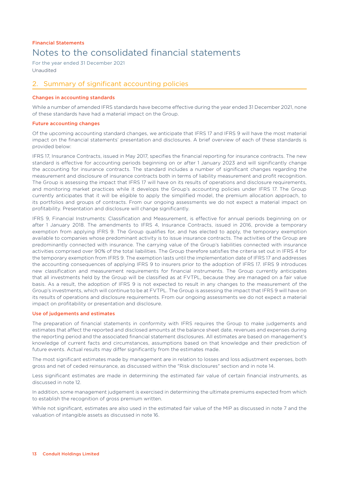For the year ended 31 December 2021 Unaudited

## 2. Summary of significant accounting policies

### Changes in accounting standards

While a number of amended IFRS standards have become effective during the year ended 31 December 2021, none of these standards have had a material impact on the Group.

### Future accounting changes

Of the upcoming accounting standard changes, we anticipate that IFRS 17 and IFRS 9 will have the most material impact on the financial statements' presentation and disclosures. A brief overview of each of these standards is provided below:

IFRS 17, Insurance Contracts, issued in May 2017, specifies the financial reporting for insurance contracts. The new standard is effective for accounting periods beginning on or after 1 January 2023 and will significantly change the accounting for insurance contracts. The standard includes a number of significant changes regarding the measurement and disclosure of insurance contracts both in terms of liability measurement and profit recognition. The Group is assessing the impact that IFRS 17 will have on its results of operations and disclosure requirements, and monitoring market practices while it develops the Group's accounting policies under IFRS 17. The Group currently anticipates that it will be eligible to apply the simplified model, the premium allocation approach, to its portfolios and groups of contracts. From our ongoing assessments we do not expect a material impact on profitability. Presentation and disclosure will change significantly.

IFRS 9, Financial Instruments: Classification and Measurement, is effective for annual periods beginning on or after 1 January 2018. The amendments to IFRS 4, Insurance Contracts, issued in 2016, provide a temporary exemption from applying IFRS 9. The Group qualifies for, and has elected to apply, the temporary exemption available to companies whose predominant activity is to issue insurance contracts. The activities of the Group are predominantly connected with insurance. The carrying value of the Group's liabilities connected with insurance activities comprised over 90% of the total liabilities. The Group therefore satisfies the criteria set out in IFRS 4 for the temporary exemption from IFRS 9. The exemption lasts until the implementation date of IFRS 17 and addresses the accounting consequences of applying IFRS 9 to insurers prior to the adoption of IFRS 17. IFRS 9 introduces new classification and measurement requirements for financial instruments. The Group currently anticipates that all investments held by the Group will be classified as at FVTPL, because they are managed on a fair value basis. As a result, the adoption of IFRS 9 is not expected to result in any changes to the measurement of the Group's investments, which will continue to be at FVTPL. The Group is assessing the impact that IFRS 9 will have on its results of operations and disclosure requirements. From our ongoing assessments we do not expect a material impact on profitability or presentation and disclosure.

### Use of judgements and estimates

The preparation of financial statements in conformity with IFRS requires the Group to make judgements and estimates that affect the reported and disclosed amounts at the balance sheet date, revenues and expenses during the reporting period and the associated financial statement disclosures. All estimates are based on management's knowledge of current facts and circumstances, assumptions based on that knowledge and their prediction of future events. Actual results may differ significantly from the estimates made.

The most significant estimates made by management are in relation to losses and loss adjustment expenses, both gross and net of ceded reinsurance, as discussed within the "Risk disclosures" section and in note 14.

Less significant estimates are made in determining the estimated fair value of certain financial instruments, as discussed in note 12.

In addition, some management judgement is exercised in determining the ultimate premiums expected from which to establish the recognition of gross premium written.

While not significant, estimates are also used in the estimated fair value of the MIP as discussed in note 7 and the valuation of intangible assets as discussed in note 16.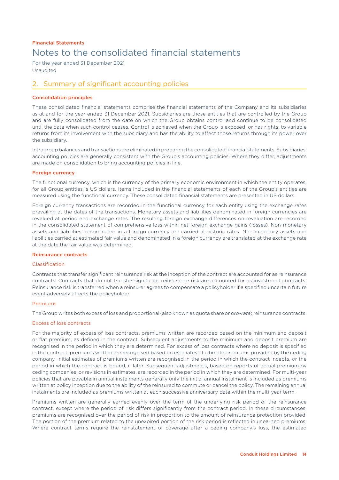For the year ended 31 December 2021 Unaudited

## 2. Summary of significant accounting policies

### Consolidation principles

These consolidated financial statements comprise the financial statements of the Company and its subsidiaries as at and for the year ended 31 December 2021. Subsidiaries are those entities that are controlled by the Group and are fully consolidated from the date on which the Group obtains control and continue to be consolidated until the date when such control ceases. Control is achieved when the Group is exposed, or has rights, to variable returns from its involvement with the subsidiary and has the ability to affect those returns through its power over the subsidiary.

Intragroup balances and transactions are eliminated in preparing the consolidated financial statements. Subsidiaries' accounting policies are generally consistent with the Group's accounting policies. Where they differ, adjustments are made on consolidation to bring accounting policies in line.

### Foreign currency

The functional currency, which is the currency of the primary economic environment in which the entity operates, for all Group entities is US dollars. Items included in the financial statements of each of the Group's entities are measured using the functional currency. These consolidated financial statements are presented in US dollars.

Foreign currency transactions are recorded in the functional currency for each entity using the exchange rates prevailing at the dates of the transactions. Monetary assets and liabilities denominated in foreign currencies are revalued at period end exchange rates. The resulting foreign exchange differences on revaluation are recorded in the consolidated statement of comprehensive loss within net foreign exchange gains (losses). Non-monetary assets and liabilities denominated in a foreign currency are carried at historic rates. Non-monetary assets and liabilities carried at estimated fair value and denominated in a foreign currency are translated at the exchange rate at the date the fair value was determined.

### Reinsurance contracts

### Classification

Contracts that transfer significant reinsurance risk at the inception of the contract are accounted for as reinsurance contracts. Contracts that do not transfer significant reinsurance risk are accounted for as investment contracts. Reinsurance risk is transferred when a reinsurer agrees to compensate a policyholder if a specified uncertain future event adversely affects the policyholder.

### Premiums

The Group writes both excess of loss and proportional (also known as quota share or *pro-rata*) reinsurance contracts.

### Excess of loss contracts

For the majority of excess of loss contracts, premiums written are recorded based on the minimum and deposit or flat premium, as defined in the contract. Subsequent adjustments to the minimum and deposit premium are recognised in the period in which they are determined. For excess of loss contracts where no deposit is specified in the contract, premiums written are recognised based on estimates of ultimate premiums provided by the ceding company. Initial estimates of premiums written are recognised in the period in which the contract incepts, or the period in which the contract is bound, if later. Subsequent adjustments, based on reports of actual premium by ceding companies, or revisions in estimates, are recorded in the period in which they are determined. For multi-year policies that are payable in annual instalments generally only the initial annual instalment is included as premiums written at policy inception due to the ability of the reinsured to commute or cancel the policy. The remaining annual instalments are included as premiums written at each successive anniversary date within the multi-year term.

Premiums written are generally earned evenly over the term of the underlying risk period of the reinsurance contract, except where the period of risk differs significantly from the contract period. In these circumstances, premiums are recognised over the period of risk in proportion to the amount of reinsurance protection provided. The portion of the premium related to the unexpired portion of the risk period is reflected in unearned premiums. Where contract terms require the reinstatement of coverage after a ceding company's loss, the estimated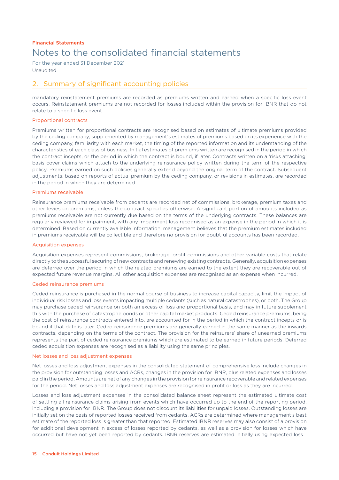For the year ended 31 December 2021 Unaudited

## 2. Summary of significant accounting policies

mandatory reinstatement premiums are recorded as premiums written and earned when a specific loss event occurs. Reinstatement premiums are not recorded for losses included within the provision for IBNR that do not relate to a specific loss event.

### Proportional contracts

Premiums written for proportional contracts are recognised based on estimates of ultimate premiums provided by the ceding company, supplemented by management's estimates of premiums based on its experience with the ceding company, familiarity with each market, the timing of the reported information and its understanding of the characteristics of each class of business. Initial estimates of premiums written are recognised in the period in which the contract incepts, or the period in which the contract is bound, if later. Contracts written on a 'risks attaching' basis cover claims which attach to the underlying reinsurance policy written during the term of the respective policy. Premiums earned on such policies generally extend beyond the original term of the contract. Subsequent adjustments, based on reports of actual premium by the ceding company, or revisions in estimates, are recorded in the period in which they are determined.

### Premiums receivable

Reinsurance premiums receivable from cedants are recorded net of commissions, brokerage, premium taxes and other levies on premiums, unless the contract specifies otherwise. A significant portion of amounts included as premiums receivable are not currently due based on the terms of the underlying contracts. These balances are regularly reviewed for impairment, with any impairment loss recognised as an expense in the period in which it is determined. Based on currently available information, management believes that the premium estimates included in premiums receivable will be collectible and therefore no provision for doubtful accounts has been recorded.

### Acquisition expenses

Acquisition expenses represent commissions, brokerage, profit commissions and other variable costs that relate directly to the successful securing of new contracts and renewing existing contracts. Generally, acquisition expenses are deferred over the period in which the related premiums are earned to the extent they are recoverable out of expected future revenue margins. All other acquisition expenses are recognised as an expense when incurred.

### Ceded reinsurance premiums

Ceded reinsurance is purchased in the normal course of business to increase capital capacity, limit the impact of individual risk losses and loss events impacting multiple cedants (such as natural catastrophes), or both. The Group may purchase ceded reinsurance on both an excess of loss and proportional basis, and may in future supplement this with the purchase of catastrophe bonds or other capital market products. Ceded reinsurance premiums, being the cost of reinsurance contracts entered into, are accounted for in the period in which the contract incepts or is bound if that date is later. Ceded reinsurance premiums are generally earned in the same manner as the inwards contracts, depending on the terms of the contract. The provision for the reinsurers' share of unearned premiums represents the part of ceded reinsurance premiums which are estimated to be earned in future periods. Deferred ceded acquisition expenses are recognised as a liability using the same principles.

#### Net losses and loss adjustment expenses

Net losses and loss adjustment expenses in the consolidated statement of comprehensive loss include changes in the provision for outstanding losses and ACRs, changes in the provision for IBNR, plus related expenses and losses paid in the period. Amounts are net of any changes in the provision for reinsurance recoverable and related expenses for the period. Net losses and loss adjustment expenses are recognised in profit or loss as they are incurred.

Losses and loss adjustment expenses in the consolidated balance sheet represent the estimated ultimate cost of settling all reinsurance claims arising from events which have occurred up to the end of the reporting period, including a provision for IBNR. The Group does not discount its liabilities for unpaid losses. Outstanding losses are initially set on the basis of reported losses received from cedants. ACRs are determined where management's best estimate of the reported loss is greater than that reported. Estimated IBNR reserves may also consist of a provision for additional development in excess of losses reported by cedants, as well as a provision for losses which have occurred but have not yet been reported by cedants. IBNR reserves are estimated initially using expected loss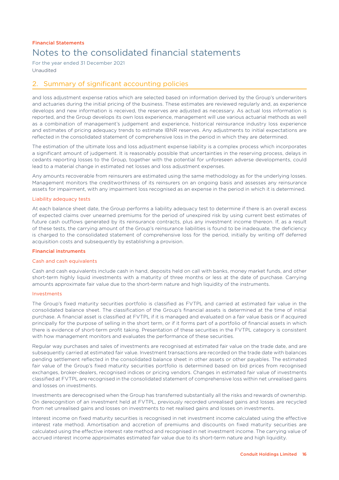For the year ended 31 December 2021 Unaudited

## 2. Summary of significant accounting policies

and loss adjustment expense ratios which are selected based on information derived by the Group's underwriters and actuaries during the initial pricing of the business. These estimates are reviewed regularly and, as experience develops and new information is received, the reserves are adjusted as necessary. As actual loss information is reported, and the Group develops its own loss experience, management will use various actuarial methods as well as a combination of management's judgement and experience, historical reinsurance industry loss experience and estimates of pricing adequacy trends to estimate IBNR reserves. Any adjustments to initial expectations are reflected in the consolidated statement of comprehensive loss in the period in which they are determined.

The estimation of the ultimate loss and loss adjustment expense liability is a complex process which incorporates a significant amount of judgement. It is reasonably possible that uncertainties in the reserving process, delays in cedants reporting losses to the Group, together with the potential for unforeseen adverse developments, could lead to a material change in estimated net losses and loss adjustment expenses.

Any amounts recoverable from reinsurers are estimated using the same methodology as for the underlying losses. Management monitors the creditworthiness of its reinsurers on an ongoing basis and assesses any reinsurance assets for impairment, with any impairment loss recognised as an expense in the period in which it is determined.

### Liability adequacy tests

At each balance sheet date, the Group performs a liability adequacy test to determine if there is an overall excess of expected claims over unearned premiums for the period of unexpired risk by using current best estimates of future cash outflows generated by its reinsurance contracts, plus any investment income thereon. If, as a result of these tests, the carrying amount of the Group's reinsurance liabilities is found to be inadequate, the deficiency is charged to the consolidated statement of comprehensive loss for the period, initially by writing off deferred acquisition costs and subsequently by establishing a provision.

### Financial instruments

### Cash and cash equivalents

Cash and cash equivalents include cash in hand, deposits held on call with banks, money market funds, and other short-term highly liquid investments with a maturity of three months or less at the date of purchase. Carrying amounts approximate fair value due to the short-term nature and high liquidity of the instruments.

### Investments

The Group's fixed maturity securities portfolio is classified as FVTPL and carried at estimated fair value in the consolidated balance sheet. The classification of the Group's financial assets is determined at the time of initial purchase. A financial asset is classified at FVTPL if it is managed and evaluated on a fair value basis or if acquired principally for the purpose of selling in the short term, or if it forms part of a portfolio of financial assets in which there is evidence of short-term profit taking. Presentation of these securities in the FVTPL category is consistent with how management monitors and evaluates the performance of these securities.

Regular way purchases and sales of investments are recognised at estimated fair value on the trade date, and are subsequently carried at estimated fair value. Investment transactions are recorded on the trade date with balances pending settlement reflected in the consolidated balance sheet in other assets or other payables. The estimated fair value of the Group's fixed maturity securities portfolio is determined based on bid prices from recognised exchanges, broker-dealers, recognised indices or pricing vendors. Changes in estimated fair value of investments classified at FVTPL are recognised in the consolidated statement of comprehensive loss within net unrealised gains and losses on investments.

Investments are derecognised when the Group has transferred substantially all the risks and rewards of ownership. On derecognition of an investment held at FVTPL, previously recorded unrealised gains and losses are recycled from net unrealised gains and losses on investments to net realised gains and losses on investments.

Interest income on fixed maturity securities is recognised in net investment income calculated using the effective interest rate method. Amortisation and accretion of premiums and discounts on fixed maturity securities are calculated using the effective interest rate method and recognised in net investment income. The carrying value of accrued interest income approximates estimated fair value due to its short-term nature and high liquidity.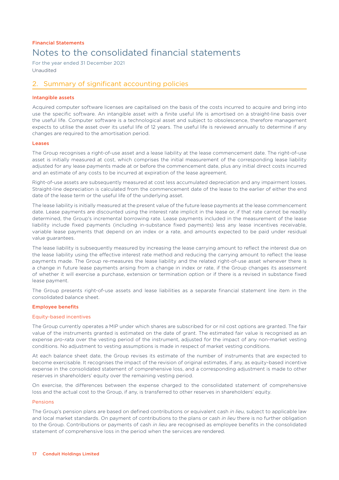For the year ended 31 December 2021 Unaudited

## 2. Summary of significant accounting policies

### Intangible assets

Acquired computer software licenses are capitalised on the basis of the costs incurred to acquire and bring into use the specific software. An intangible asset with a finite useful life is amortised on a straight-line basis over the useful life. Computer software is a technological asset and subject to obsolescence, therefore management expects to utilise the asset over its useful life of 12 years. The useful life is reviewed annually to determine if any changes are required to the amortisation period.

### Leases

The Group recognises a right-of-use asset and a lease liability at the lease commencement date. The right-of-use asset is initially measured at cost, which comprises the initial measurement of the corresponding lease liability adjusted for any lease payments made at or before the commencement date, plus any initial direct costs incurred and an estimate of any costs to be incurred at expiration of the lease agreement.

Right-of-use assets are subsequently measured at cost less accumulated depreciation and any impairment losses. Straight-line depreciation is calculated from the commencement date of the lease to the earlier of either the end date of the lease term or the useful life of the underlying asset.

The lease liability is initially measured at the present value of the future lease payments at the lease commencement date. Lease payments are discounted using the interest rate implicit in the lease or, if that rate cannot be readily determined, the Group's incremental borrowing rate. Lease payments included in the measurement of the lease liability include fixed payments (including in-substance fixed payments) less any lease incentives receivable, variable lease payments that depend on an index or a rate, and amounts expected to be paid under residual value guarantees.

The lease liability is subsequently measured by increasing the lease carrying amount to reflect the interest due on the lease liability using the effective interest rate method and reducing the carrying amount to reflect the lease payments made. The Group re-measures the lease liability and the related right-of-use asset whenever there is a change in future lease payments arising from a change in index or rate, if the Group changes its assessment of whether it will exercise a purchase, extension or termination option or if there is a revised in substance fixed lease payment.

The Group presents right-of-use assets and lease liabilities as a separate financial statement line item in the consolidated balance sheet.

### Employee benefits

#### Equity-based incentives

The Group currently operates a MIP under which shares are subscribed for or nil cost options are granted. The fair value of the instruments granted is estimated on the date of grant. The estimated fair value is recognised as an expense *pro-rata* over the vesting period of the instrument, adjusted for the impact of any non-market vesting conditions. No adjustment to vesting assumptions is made in respect of market vesting conditions.

At each balance sheet date, the Group revises its estimate of the number of instruments that are expected to become exercisable. It recognises the impact of the revision of original estimates, if any, as equity-based incentive expense in the consolidated statement of comprehensive loss, and a corresponding adjustment is made to other reserves in shareholders' equity over the remaining vesting period.

On exercise, the differences between the expense charged to the consolidated statement of comprehensive loss and the actual cost to the Group, if any, is transferred to other reserves in shareholders' equity.

#### Pensions

The Group's pension plans are based on defined contributions or equivalent cash *in lieu*, subject to applicable law and local market standards. On payment of contributions to the plans or cash *in lieu* there is no further obligation to the Group. Contributions or payments of cash *in lieu* are recognised as employee benefits in the consolidated statement of comprehensive loss in the period when the services are rendered.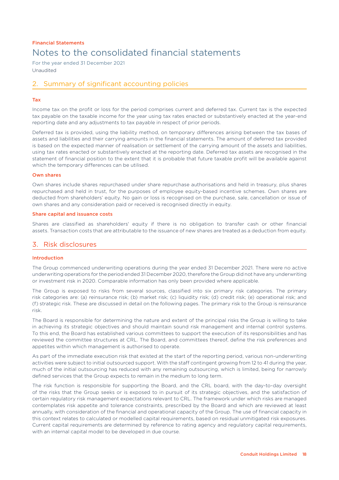For the year ended 31 December 2021 Unaudited

## 2. Summary of significant accounting policies

### Tax

Income tax on the profit or loss for the period comprises current and deferred tax. Current tax is the expected tax payable on the taxable income for the year using tax rates enacted or substantively enacted at the year-end reporting date and any adjustments to tax payable in respect of prior periods.

Deferred tax is provided, using the liability method, on temporary differences arising between the tax bases of assets and liabilities and their carrying amounts in the financial statements. The amount of deferred tax provided is based on the expected manner of realisation or settlement of the carrying amount of the assets and liabilities, using tax rates enacted or substantively enacted at the reporting date. Deferred tax assets are recognised in the statement of financial position to the extent that it is probable that future taxable profit will be available against which the temporary differences can be utilised.

### Own shares

Own shares include shares repurchased under share repurchase authorisations and held in treasury, plus shares repurchased and held in trust, for the purposes of employee equity-based incentive schemes. Own shares are deducted from shareholders' equity. No gain or loss is recognised on the purchase, sale, cancellation or issue of own shares and any consideration paid or received is recognised directly in equity.

### Share capital and issuance costs

Shares are classified as shareholders' equity if there is no obligation to transfer cash or other financial assets. Transaction costs that are attributable to the issuance of new shares are treated as a deduction from equity.

### 3. Risk disclosures

### Introduction

The Group commenced underwriting operations during the year ended 31 December 2021. There were no active underwriting operations for the period ended 31 December 2020, therefore the Group did not have any underwriting or investment risk in 2020. Comparable information has only been provided where applicable.

The Group is exposed to risks from several sources, classified into six primary risk categories. The primary risk categories are: (a) reinsurance risk; (b) market risk; (c) liquidity risk; (d) credit risk; (e) operational risk; and (f) strategic risk. These are discussed in detail on the following pages. The primary risk to the Group is reinsurance risk.

The Board is responsible for determining the nature and extent of the principal risks the Group is willing to take in achieving its strategic objectives and should maintain sound risk management and internal control systems. To this end, the Board has established various committees to support the execution of its responsibilities and has reviewed the committee structures at CRL. The Board, and committees thereof, define the risk preferences and appetites within which management is authorised to operate.

As part of the immediate execution risk that existed at the start of the reporting period, various non-underwriting activities were subject to initial outsourced support. With the staff contingent growing from 12 to 41 during the year, much of the initial outsourcing has reduced with any remaining outsourcing, which is limited, being for narrowly defined services that the Group expects to remain in the medium to long term.

The risk function is responsible for supporting the Board, and the CRL board, with the day-to-day oversight of the risks that the Group seeks or is exposed to in pursuit of its strategic objectives, and the satisfaction of certain regulatory risk management expectations relevant to CRL. The framework under which risks are managed contemplates risk appetite and tolerance constraints, prescribed by the Board and which are reviewed at least annually, with consideration of the financial and operational capacity of the Group. The use of financial capacity in this context relates to calculated or modelled capital requirements, based on residual unmitigated risk exposures. Current capital requirements are determined by reference to rating agency and regulatory capital requirements, with an internal capital model to be developed in due course.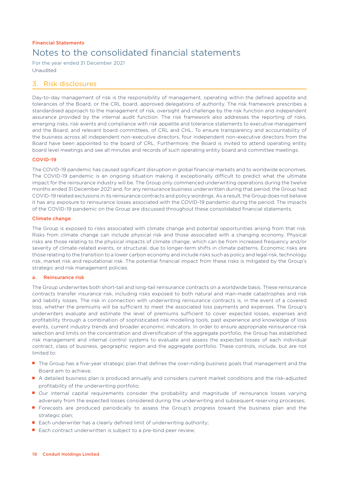For the year ended 31 December 2021 Unaudited

### 3. Risk disclosures

Day-to-day management of risk is the responsibility of management, operating within the defined appetite and tolerances of the Board, or the CRL board, approved delegations of authority. The risk framework prescribes a standardised approach to the management of risk, oversight and challenge by the risk function and independent assurance provided by the internal audit function. The risk framework also addresses the reporting of risks, emerging risks, risk events and compliance with risk appetite and tolerance statements to executive management and the Board, and relevant board committees, of CRL and CHL. To ensure transparency and accountability of the business across all independent non-executive directors, four independent non-executive directors from the Board have been appointed to the board of CRL. Furthermore, the Board is invited to attend operating entity board level meetings and see all minutes and records of such operating entity board and committee meetings.

### COVID-19

The COVID-19 pandemic has caused significant disruption in global financial markets and to worldwide economies. The COVID-19 pandemic is an ongoing situation making it exceptionally difficult to predict what the ultimate impact for the reinsurance industry will be. The Group only commenced underwriting operations during the twelve months ended 31 December 2021 and, for any reinsurance business underwritten during that period, the Group had COVID-19 related exclusions in its reinsurance contracts and policy wordings. As a result, the Group does not believe it has any exposure to reinsurance losses associated with the COVID-19 pandemic during the period. The impacts of the COVID-19 pandemic on the Group are discussed throughout these consolidated financial statements.

### Climate change

The Group is exposed to risks associated with climate change and potential opportunities arising from that risk. Risks from climate change can include physical risk and those associated with a changing economy. Physical risks are those relating to the physical impacts of climate change, which can be from increased frequency and/or severity of climate-related events, or structural, due to longer-term shifts in climate patterns. Economic risks are those relating to the transition to a lower carbon economy and include risks such as policy and legal risk, technology risk, market risk and reputational risk. The potential financial impact from these risks is mitigated by the Group's strategic and risk management policies.

### a. Reinsurance risk

The Group underwrites both short-tail and long-tail reinsurance contracts on a worldwide basis. These reinsurance contracts transfer insurance risk, including risks exposed to both natural and man-made catastrophes and risk and liability losses. The risk in connection with underwriting reinsurance contracts is, in the event of a covered loss, whether the premiums will be sufficient to meet the associated loss payments and expenses. The Group's underwriters evaluate and estimate the level of premiums sufficient to cover expected losses, expenses and profitability through a combination of sophisticated risk modelling tools, past experience and knowledge of loss events, current industry trends and broader economic indicators. In order to ensure appropriate reinsurance risk selection and limits on the concentration and diversification of the aggregate portfolio, the Group has established risk management and internal control systems to evaluate and assess the expected losses of each individual contract, class of business, geographic region and the aggregate portfolio. These controls, include, but are not limited to:

- The Group has a five-year strategic plan that defines the over-riding business goals that management and the Board aim to achieve;
- A detailed business plan is produced annually and considers current market conditions and the risk-adjusted profitability of the underwriting portfolio;
- Our internal capital requirements consider the probability and magnitude of reinsurance losses varying adversely from the expected losses considered during the underwriting and subsequent reserving processes;
- Forecasts are produced periodically to assess the Group's progress toward the business plan and the strategic plan;
- Each underwriter has a clearly defined limit of underwriting authority;
- Each contract underwritten is subject to a pre-bind peer review;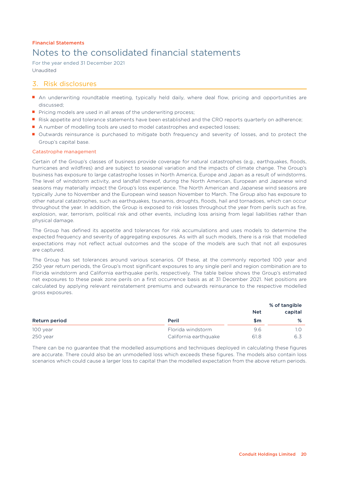For the year ended 31 December 2021 Unaudited

## 3. Risk disclosures

- An underwriting roundtable meeting, typically held daily, where deal flow, pricing and opportunities are discussed;
- Pricing models are used in all areas of the underwriting process;
- Risk appetite and tolerance statements have been established and the CRO reports quarterly on adherence;
- A number of modelling tools are used to model catastrophes and expected losses;
- Outwards reinsurance is purchased to mitigate both frequency and severity of losses, and to protect the Group's capital base.

### Catastrophe management

Certain of the Group's classes of business provide coverage for natural catastrophes (e.g., earthquakes, floods, hurricanes and wildfires) and are subject to seasonal variation and the impacts of climate change. The Group's business has exposure to large catastrophe losses in North America, Europe and Japan as a result of windstorms. The level of windstorm activity, and landfall thereof, during the North American, European and Japanese wind seasons may materially impact the Group's loss experience. The North American and Japanese wind seasons are typically June to November and the European wind season November to March. The Group also has exposure to other natural catastrophes, such as earthquakes, tsunamis, droughts, floods, hail and tornadoes, which can occur throughout the year. In addition, the Group is exposed to risk losses throughout the year from perils such as fire, explosion, war, terrorism, political risk and other events, including loss arising from legal liabilities rather than physical damage.

The Group has defined its appetite and tolerances for risk accumulations and uses models to determine the expected frequency and severity of aggregating exposures. As with all such models, there is a risk that modelled expectations may not reflect actual outcomes and the scope of the models are such that not all exposures are captured.

The Group has set tolerances around various scenarios. Of these, at the commonly reported 100 year and 250 year return periods, the Group's most significant exposures to any single peril and region combination are to Florida windstorm and California earthquake perils, respectively. The table below shows the Group's estimated net exposures to these peak zone perils on a first occurrence basis as at 31 December 2021. Net positions are calculated by applying relevant reinstatement premiums and outwards reinsurance to the respective modelled gross exposures.

|                      |                       | <b>Net</b> | % of tangible<br>capital |  |
|----------------------|-----------------------|------------|--------------------------|--|
| <b>Return period</b> | Peril                 | \$m        | %                        |  |
| 100 year             | Florida windstorm     | 9.6        |                          |  |
| 250 year             | California earthquake | 61.8       | 6.3                      |  |

There can be no guarantee that the modelled assumptions and techniques deployed in calculating these figures are accurate. There could also be an unmodelled loss which exceeds these figures. The models also contain loss scenarios which could cause a larger loss to capital than the modelled expectation from the above return periods.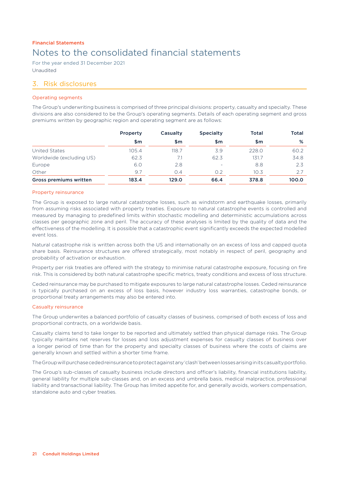For the year ended 31 December 2021 Unaudited

### 3. Risk disclosures

### Operating segments

The Group's underwriting business is comprised of three principal divisions: property, casualty and specialty. These divisions are also considered to be the Group's operating segments. Details of each operating segment and gross premiums written by geographic region and operating segment are as follows:

|                               | Property | Casualty | <b>Specialty</b>         | <b>Total</b> | <b>Total</b> |
|-------------------------------|----------|----------|--------------------------|--------------|--------------|
|                               | \$m      | \$m      | \$m                      | \$m          | %            |
| United States                 | 105.4    | 118.7    | 3.9                      | 228.0        | 60.2         |
| Worldwide (excluding US)      | 62.3     | 7.1      | 62.3                     | 131.7        | 34.8         |
| Europe                        | 6.0      | 2.8      | $\overline{\phantom{a}}$ | 8.8          | 2.3          |
| Other                         | 9.7      | O.4      | 0.2                      | 10.3         | 2.7          |
| <b>Gross premiums written</b> | 183.4    | 129.0    | 66.4                     | 378.8        | 100.0        |

### Property reinsurance

The Group is exposed to large natural catastrophe losses, such as windstorm and earthquake losses, primarily from assuming risks associated with property treaties. Exposure to natural catastrophe events is controlled and measured by managing to predefined limits within stochastic modelling and deterministic accumulations across classes per geographic zone and peril. The accuracy of these analyses is limited by the quality of data and the effectiveness of the modelling. It is possible that a catastrophic event significantly exceeds the expected modelled event loss.

Natural catastrophe risk is written across both the US and internationally on an excess of loss and capped quota share basis. Reinsurance structures are offered strategically, most notably in respect of peril, geography and probability of activation or exhaustion.

Property per risk treaties are offered with the strategy to minimise natural catastrophe exposure, focusing on fire risk. This is considered by both natural catastrophe specific metrics, treaty conditions and excess of loss structure.

Ceded reinsurance may be purchased to mitigate exposures to large natural catastrophe losses. Ceded reinsurance is typically purchased on an excess of loss basis, however industry loss warranties, catastrophe bonds, or proportional treaty arrangements may also be entered into.

### Casualty reinsurance

The Group underwrites a balanced portfolio of casualty classes of business, comprised of both excess of loss and proportional contracts, on a worldwide basis.

Casualty claims tend to take longer to be reported and ultimately settled than physical damage risks. The Group typically maintains net reserves for losses and loss adjustment expenses for casualty classes of business over a longer period of time than for the property and specialty classes of business where the costs of claims are generally known and settled within a shorter time frame.

The Group will purchase ceded reinsurance to protect against any 'clash' between losses arising in itscasualtyportfolio.

The Group's sub-classes of casualty business include directors and officer's liability, financial institutions liability, general liability for multiple sub-classes and, on an excess and umbrella basis, medical malpractice, professional liability and transactional liability. The Group has limited appetite for, and generally avoids, workers compensation, standalone auto and cyber treaties.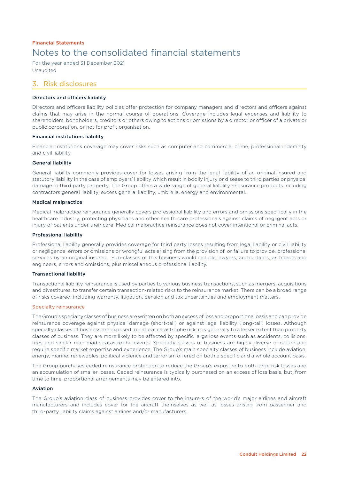For the year ended 31 December 2021 Unaudited

### 3. Risk disclosures

### Directors and officers liability

Directors and officers liability policies offer protection for company managers and directors and officers against claims that may arise in the normal course of operations. Coverage includes legal expenses and liability to shareholders, bondholders, creditors or others owing to actions or omissions by a director or officer of a private or public corporation, or not for profit organisation.

### Financial institutions liability

Financial institutions coverage may cover risks such as computer and commercial crime, professional indemnity and civil liability.

### General liability

General liability commonly provides cover for losses arising from the legal liability of an original insured and statutory liability in the case of employers' liability which result in bodily injury or disease to third parties or physical damage to third party property. The Group offers a wide range of general liability reinsurance products including contractors general liability, excess general liability, umbrella, energy and environmental.

### Medical malpractice

Medical malpractice reinsurance generally covers professional liability and errors and omissions specifically in the healthcare industry, protecting physicians and other health care professionals against claims of negligent acts or injury of patients under their care. Medical malpractice reinsurance does not cover intentional or criminal acts.

### Professional liability

Professional liability generally provides coverage for third party losses resulting from legal liability or civil liability or negligence, errors or omissions or wrongful acts arising from the provision of, or failure to provide, professional services by an original insured. Sub-classes of this business would include lawyers, accountants, architects and engineers, errors and omissions, plus miscellaneous professional liability.

### Transactional liability

Transactional liability reinsurance is used by parties to various business transactions, such as mergers, acquisitions and divestitures, to transfer certain transaction-related risks to the reinsurance market. There can be a broad range of risks covered, including warranty, litigation, pension and tax uncertainties and employment matters.

### Specialty reinsurance

The Group's specialty classes of business are written on both an excess of loss and proportional basis and can provide reinsurance coverage against physical damage (short-tail) or against legal liability (long-tail) losses. Although specialty classes of business are exposed to natural catastrophe risk, it is generally to a lesser extent than property classes of business. They are more likely to be affected by specific large loss events such as accidents, collisions, fires and similar man-made catastrophe events. Specialty classes of business are highly diverse in nature and require specific market expertise and experience. The Group's main specialty classes of business include aviation, energy, marine, renewables, political violence and terrorism offered on both a specific and a whole account basis.

The Group purchases ceded reinsurance protection to reduce the Group's exposure to both large risk losses and an accumulation of smaller losses. Ceded reinsurance is typically purchased on an excess of loss basis, but, from time to time, proportional arrangements may be entered into.

### Aviation

The Group's aviation class of business provides cover to the insurers of the world's major airlines and aircraft manufacturers and includes cover for the aircraft themselves as well as losses arising from passenger and third-party liability claims against airlines and/or manufacturers.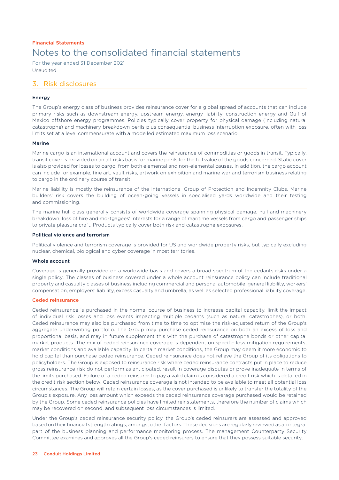For the year ended 31 December 2021 Unaudited

### 3. Risk disclosures

### Energy

The Group's energy class of business provides reinsurance cover for a global spread of accounts that can include primary risks such as downstream energy, upstream energy, energy liability, construction energy and Gulf of Mexico offshore energy programmes. Policies typically cover property for physical damage (including natural catastrophe) and machinery breakdown perils plus consequential business interruption exposure, often with loss limits set at a level commensurate with a modelled estimated maximum loss scenario.

### Marine

Marine cargo is an international account and covers the reinsurance of commodities or goods in transit. Typically, transit cover is provided on an all-risks basis for marine perils for the full value of the goods concerned. Static cover is also provided for losses to cargo, from both elemental and non-elemental causes. In addition, the cargo account can include for example, fine art, vault risks, artwork on exhibition and marine war and terrorism business relating to cargo in the ordinary course of transit.

Marine liability is mostly the reinsurance of the International Group of Protection and Indemnity Clubs. Marine builders' risk covers the building of ocean-going vessels in specialised yards worldwide and their testing and commissioning.

The marine hull class generally consists of worldwide coverage spanning physical damage, hull and machinery breakdown, loss of hire and mortgagees' interests for a range of maritime vessels from cargo and passenger ships to private pleasure craft. Products typically cover both risk and catastrophe exposures.

### Political violence and terrorism

Political violence and terrorism coverage is provided for US and worldwide property risks, but typically excluding nuclear, chemical, biological and cyber coverage in most territories.

### Whole account

Coverage is generally provided on a worldwide basis and covers a broad spectrum of the cedants risks under a single policy. The classes of business covered under a whole account reinsurance policy can include traditional property and casualty classes of business including commercial and personal automobile, general liability, workers' compensation, employers' liability, excess casualty and umbrella, as well as selected professional liability coverage.

### Ceded reinsurance

Ceded reinsurance is purchased in the normal course of business to increase capital capacity, limit the impact of individual risk losses and loss events impacting multiple cedants (such as natural catastrophes), or both. Ceded reinsurance may also be purchased from time to time to optimise the risk-adjusted return of the Group's aggregate underwriting portfolio. The Group may purchase ceded reinsurance on both an excess of loss and proportional basis, and may in future supplement this with the purchase of catastrophe bonds or other capital market products. The mix of ceded reinsurance coverage is dependent on specific loss mitigation requirements, market conditions and available capacity. In certain market conditions, the Group may deem it more economic to hold capital than purchase ceded reinsurance. Ceded reinsurance does not relieve the Group of its obligations to policyholders. The Group is exposed to reinsurance risk where ceded reinsurance contracts put in place to reduce gross reinsurance risk do not perform as anticipated, result in coverage disputes or prove inadequate in terms of the limits purchased. Failure of a ceded reinsurer to pay a valid claim is considered a credit risk which is detailed in the credit risk section below. Ceded reinsurance coverage is not intended to be available to meet all potential loss circumstances. The Group will retain certain losses, as the cover purchased is unlikely to transfer the totality of the Group's exposure. Any loss amount which exceeds the ceded reinsurance coverage purchased would be retained by the Group. Some ceded reinsurance policies have limited reinstatements, therefore the number of claims which may be recovered on second, and subsequent loss circumstances is limited.

Under the Group's ceded reinsurance security policy, the Group's ceded reinsurers are assessed and approved based on their financial strength ratings, amongst other factors. These decisions are regularly reviewed as an integral part of the business planning and performance monitoring process. The management Counterparty Security Committee examines and approves all the Group's ceded reinsurers to ensure that they possess suitable security.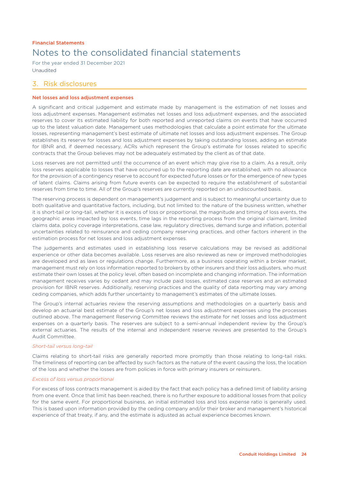For the year ended 31 December 2021 Unaudited

### 3. Risk disclosures

### Net losses and loss adjustment expenses

A significant and critical judgement and estimate made by management is the estimation of net losses and loss adjustment expenses. Management estimates net losses and loss adjustment expenses, and the associated reserves to cover its estimated liability for both reported and unreported claims on events that have occurred up to the latest valuation date. Management uses methodologies that calculate a point estimate for the ultimate losses, representing management's best estimate of ultimate net losses and loss adjustment expenses. The Group establishes its reserve for losses and loss adjustment expenses by taking outstanding losses, adding an estimate for IBNR and, if deemed necessary, ACRs which represent the Group's estimate for losses related to specific contracts that the Group believes may not be adequately estimated by the client as of that date.

Loss reserves are not permitted until the occurrence of an event which may give rise to a claim. As a result, only loss reserves applicable to losses that have occurred up to the reporting date are established, with no allowance for the provision of a contingency reserve to account for expected future losses or for the emergence of new types of latent claims. Claims arising from future events can be expected to require the establishment of substantial reserves from time to time. All of the Group's reserves are currently reported on an undiscounted basis.

The reserving process is dependent on management's judgement and is subject to meaningful uncertainty due to both qualitative and quantitative factors, including, but not limited to: the nature of the business written, whether it is short-tail or long-tail, whether it is excess of loss or proportional, the magnitude and timing of loss events, the geographic areas impacted by loss events, time lags in the reporting process from the original claimant, limited claims data, policy coverage interpretations, case law, regulatory directives, demand surge and inflation, potential uncertainties related to reinsurance and ceding company reserving practices, and other factors inherent in the estimation process for net losses and loss adjustment expenses.

The judgements and estimates used in establishing loss reserve calculations may be revised as additional experience or other data becomes available. Loss reserves are also reviewed as new or improved methodologies are developed and as laws or regulations change. Furthermore, as a business operating within a broker market, management must rely on loss information reported to brokers by other insurers and their loss adjusters, who must estimate their own losses at the policy level, often based on incomplete and changing information. The information management receives varies by cedant and may include paid losses, estimated case reserves and an estimated provision for IBNR reserves. Additionally, reserving practices and the quality of data reporting may vary among ceding companies, which adds further uncertainty to management's estimates of the ultimate losses.

The Group's internal actuaries review the reserving assumptions and methodologies on a quarterly basis and develop an actuarial best estimate of the Group's net losses and loss adjustment expenses using the processes outlined above. The management Reserving Committee reviews the estimate for net losses and loss adjustment expenses on a quarterly basis. The reserves are subject to a semi-annual independent review by the Group's external actuaries. The results of the internal and independent reserve reviews are presented to the Group's Audit Committee.

### *Short-tail versus long-tail*

Claims relating to short-tail risks are generally reported more promptly than those relating to long-tail risks. The timeliness of reporting can be affected by such factors as the nature of the event causing the loss, the location of the loss and whether the losses are from policies in force with primary insurers or reinsurers.

### *Excess of loss versus proportional*

For excess of loss contracts management is aided by the fact that each policy has a defined limit of liability arising from one event. Once that limit has been reached, there is no further exposure to additional losses from that policy for the same event. For proportional business, an initial estimated loss and loss expense ratio is generally used. This is based upon information provided by the ceding company and/or their broker and management's historical experience of that treaty, if any, and the estimate is adjusted as actual experience becomes known.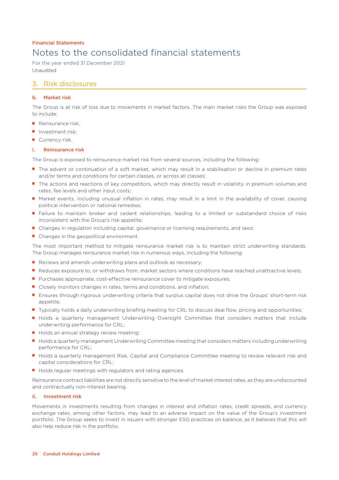For the year ended 31 December 2021 Unaudited

## 3. Risk disclosures

### b. Market risk

The Group is at risk of loss due to movements in market factors. The main market risks the Group was exposed to include:

- Reinsurance risk:
- Investment risk:
- Currency risk.

### i. Reinsurance risk

The Group is exposed to reinsurance market risk from several sources, including the following:

- The advent or continuation of a soft market, which may result in a stabilisation or decline in premium rates and/or terms and conditions for certain classes, or across all classes;
- The actions and reactions of key competitors, which may directly result in volatility in premium volumes and rates, fee levels and other input costs;
- Market events, including unusual inflation in rates, may result in a limit in the availability of cover, causing political intervention or national remedies;
- Failure to maintain broker and cedant relationships, leading to a limited or substandard choice of risks inconsistent with the Group's risk appetite;
- Changes in regulation including capital, governance or licensing requirements, and laws;
- Changes in the geopolitical environment.

The most important method to mitigate reinsurance market risk is to maintain strict underwriting standards. The Group manages reinsurance market risk in numerous ways, including the following:

- Reviews and amends underwriting plans and outlook as necessary;
- Reduces exposure to, or withdraws from, market sectors where conditions have reached unattractive levels;
- Purchases appropriate, cost-effective reinsurance cover to mitigate exposures;
- Closely monitors changes in rates, terms and conditions, and inflation;
- Ensures through rigorous underwriting criteria that surplus capital does not drive the Groups' short-term risk appetite;
- Typically holds a daily underwriting briefing meeting for CRL to discuss deal flow, pricing and opportunities;
- Holds a quarterly management Underwriting Oversight Committee that considers matters that include underwriting performance for CRL;
- Holds an annual strategy review meeting;
- Holds a quarterly management Underwriting Committee meeting that considers matters including underwriting performance for CRL;
- Holds a quarterly management Risk, Capital and Compliance Committee meeting to review relevant risk and capital considerations for CRL;
- Holds regular meetings with regulators and rating agencies.

Reinsurance contract liabilities are not directly sensitive to the level of market interest rates, as they are undiscounted and contractually non-interest bearing.

### ii. Investment risk

Movements in investments resulting from changes in interest and inflation rates, credit spreads, and currency exchange rates, among other factors, may lead to an adverse impact on the value of the Group's investment portfolio. The Group seeks to invest in issuers with stronger ESG practices on balance, as it believes that this will also help reduce risk in the portfolio.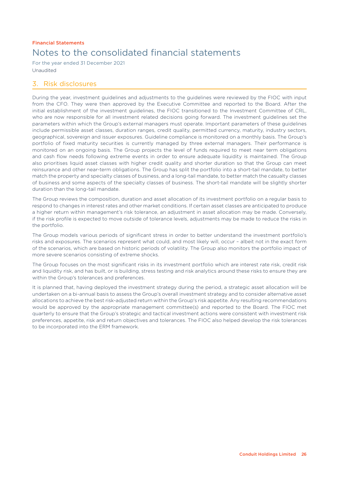For the year ended 31 December 2021 Unaudited

## 3. Risk disclosures

During the year, investment guidelines and adjustments to the guidelines were reviewed by the FIOC with input from the CFO. They were then approved by the Executive Committee and reported to the Board. After the initial establishment of the investment guidelines, the FIOC transitioned to the Investment Committee of CRL, who are now responsible for all investment related decisions going forward. The investment guidelines set the parameters within which the Group's external managers must operate. Important parameters of these guidelines include permissible asset classes, duration ranges, credit quality, permitted currency, maturity, industry sectors, geographical, sovereign and issuer exposures. Guideline compliance is monitored on a monthly basis. The Group's portfolio of fixed maturity securities is currently managed by three external managers. Their performance is monitored on an ongoing basis. The Group projects the level of funds required to meet near term obligations and cash flow needs following extreme events in order to ensure adequate liquidity is maintained. The Group also prioritises liquid asset classes with higher credit quality and shorter duration so that the Group can meet reinsurance and other near-term obligations. The Group has split the portfolio into a short-tail mandate, to better match the property and specialty classes of business, and a long-tail mandate, to better match the casualty classes of business and some aspects of the specialty classes of business. The short-tail mandate will be slightly shorter duration than the long-tail mandate.

The Group reviews the composition, duration and asset allocation of its investment portfolio on a regular basis to respond to changes in interest rates and other market conditions. If certain asset classes are anticipated to produce a higher return within management's risk tolerance, an adjustment in asset allocation may be made. Conversely, if the risk profile is expected to move outside of tolerance levels, adjustments may be made to reduce the risks in the portfolio.

The Group models various periods of significant stress in order to better understand the investment portfolio's risks and exposures. The scenarios represent what could, and most likely will, occur – albeit not in the exact form of the scenarios, which are based on historic periods of volatility. The Group also monitors the portfolio impact of more severe scenarios consisting of extreme shocks.

The Group focuses on the most significant risks in its investment portfolio which are interest rate risk, credit risk and liquidity risk, and has built, or is building, stress testing and risk analytics around these risks to ensure they are within the Group's tolerances and preferences.

It is planned that, having deployed the investment strategy during the period, a strategic asset allocation will be undertaken on a bi-annual basis to assess the Group's overall investment strategy and to consider alternative asset allocations to achieve the best risk-adjusted return within the Group's risk appetite. Any resulting recommendations would be approved by the appropriate management committee(s) and reported to the Board. The FIOC met quarterly to ensure that the Group's strategic and tactical investment actions were consistent with investment risk preferences, appetite, risk and return objectives and tolerances. The FIOC also helped develop the risk tolerances to be incorporated into the ERM framework.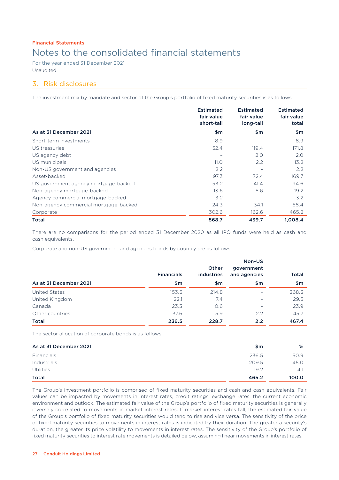For the year ended 31 December 2021 Unaudited

## 3. Risk disclosures

The investment mix by mandate and sector of the Group's portfolio of fixed maturity securities is as follows:

|                                       | <b>Estimated</b><br>fair value<br>short-tail | <b>Estimated</b><br>fair value<br>long-tail | <b>Estimated</b><br>fair value<br>total |
|---------------------------------------|----------------------------------------------|---------------------------------------------|-----------------------------------------|
| As at 31 December 2021                | \$m                                          | \$m\$                                       | \$m                                     |
| Short-term investments                | 8.9                                          |                                             | 8.9                                     |
| US treasuries                         | 52.4                                         | 119.4                                       | 171.8                                   |
| US agency debt                        |                                              | 2.0                                         | 2.0                                     |
| US municipals                         | 11.0                                         | 2.2                                         | 13.2                                    |
| Non-US government and agencies        | 2.2                                          |                                             | $2.2^{\circ}$                           |
| Asset-backed                          | 97.3                                         | 72.4                                        | 169.7                                   |
| US government agency mortgage-backed  | 53.2                                         | 41.4                                        | 94.6                                    |
| Non-agency mortgage-backed            | 13.6                                         | 5.6                                         | 19.2                                    |
| Agency commercial mortgage-backed     | 3.2                                          |                                             | 3.2                                     |
| Non-agency commercial mortgage-backed | 24.3                                         | 34.1                                        | 58.4                                    |
| Corporate                             | 302.6                                        | 162.6                                       | 465.2                                   |
| Total                                 | 568.7                                        | 439.7                                       | 1,008.4                                 |

There are no comparisons for the period ended 31 December 2020 as all IPO funds were held as cash and cash equivalents.

Corporate and non-US government and agencies bonds by country are as follows:

|                        | <b>Financials</b> | Other<br>industries | Non-US<br>government<br>and agencies | <b>Total</b> |
|------------------------|-------------------|---------------------|--------------------------------------|--------------|
| As at 31 December 2021 | \$m               | \$m                 | \$m                                  | \$m          |
| <b>United States</b>   | 153.5             | 214.8               | -                                    | 368.3        |
| United Kingdom         | 22.1              | 7.4                 | $\qquad \qquad$                      | 29.5         |
| Canada                 | 23.3              | 0.6                 | $\qquad \qquad$                      | 23.9         |
| Other countries        | 37.6              | 5.9                 | 2.2                                  | 45.7         |
| <b>Total</b>           | 236.5             | 228.7               | 2.2                                  | 467.4        |

The sector allocation of corporate bonds is as follows:

| As at 31 December 2021 | \$m   | %     |
|------------------------|-------|-------|
| Financials             | 236.5 | 50.9  |
| Industrials            | 209.5 | 45.0  |
| <b>Utilities</b>       | 19.2  | 4.1   |
| <b>Total</b>           | 465.2 | 100.0 |

The Group's investment portfolio is comprised of fixed maturity securities and cash and cash equivalents. Fair values can be impacted by movements in interest rates, credit ratings, exchange rates, the current economic environment and outlook. The estimated fair value of the Group's portfolio of fixed maturity securities is generally inversely correlated to movements in market interest rates. If market interest rates fall, the estimated fair value of the Group's portfolio of fixed maturity securities would tend to rise and vice versa. The sensitivity of the price of fixed maturity securities to movements in interest rates is indicated by their duration. The greater a security's duration, the greater its price volatility to movements in interest rates. The sensitivity of the Group's portfolio of fixed maturity securities to interest rate movements is detailed below, assuming linear movements in interest rates.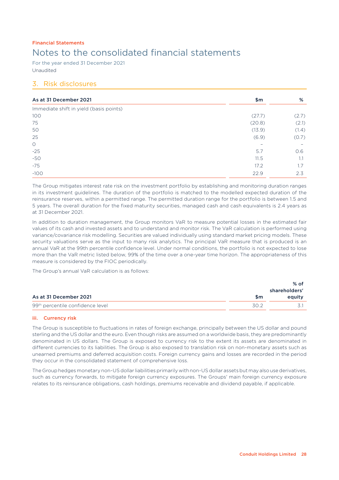For the year ended 31 December 2021 Unaudited

## 3. Risk disclosures

| As at 31 December 2021                  | \$m\$                    | %     |
|-----------------------------------------|--------------------------|-------|
| Immediate shift in yield (basis points) |                          |       |
| 100                                     | (27.7)                   | (2.7) |
| 75                                      | (20.8)                   | (2.1) |
| 50                                      | (13.9)                   | (1.4) |
| 25                                      | (6.9)                    | (0.7) |
| $\circ$                                 | $\overline{\phantom{0}}$ |       |
| $-25$                                   | 5.7                      | 0.6   |
| $-50$                                   | 11.5                     | 1.1   |
| $-75$                                   | 17.2                     | 1.7   |
| $-100$                                  | 22.9                     | 2.3   |

The Group mitigates interest rate risk on the investment portfolio by establishing and monitoring duration ranges in its investment guidelines. The duration of the portfolio is matched to the modelled expected duration of the reinsurance reserves, within a permitted range. The permitted duration range for the portfolio is between 1.5 and 5 years. The overall duration for the fixed maturity securities, managed cash and cash equivalents is 2.4 years as at 31 December 2021.

In addition to duration management, the Group monitors VaR to measure potential losses in the estimated fair values of its cash and invested assets and to understand and monitor risk. The VaR calculation is performed using variance/covariance risk modelling. Securities are valued individually using standard market pricing models. These security valuations serve as the input to many risk analytics. The principal VaR measure that is produced is an annual VaR at the 99th percentile confidence level. Under normal conditions, the portfolio is not expected to lose more than the VaR metric listed below, 99% of the time over a one-year time horizon. The appropriateness of this measure is considered by the FIOC periodically.

The Group's annual VaR calculation is as follows:

|                                              |               | % of   |
|----------------------------------------------|---------------|--------|
|                                              | shareholders' |        |
| As at 31 December 2021                       | \$m           | eauity |
| 99 <sup>th</sup> percentile confidence level | .30 2         |        |

### iii. Currency risk

The Group is susceptible to fluctuations in rates of foreign exchange, principally between the US dollar and pound sterling and the US dollar and the euro. Even though risks are assumed on a worldwide basis, they are predominantly denominated in US dollars. The Group is exposed to currency risk to the extent its assets are denominated in different currencies to its liabilities. The Group is also exposed to translation risk on non-monetary assets such as unearned premiums and deferred acquisition costs. Foreign currency gains and losses are recorded in the period they occur in the consolidated statement of comprehensive loss.

The Group hedges monetary non-US dollar liabilities primarily with non-US dollar assets but may also use derivatives, such as currency forwards, to mitigate foreign currency exposures. The Groups' main foreign currency exposure relates to its reinsurance obligations, cash holdings, premiums receivable and dividend payable, if applicable.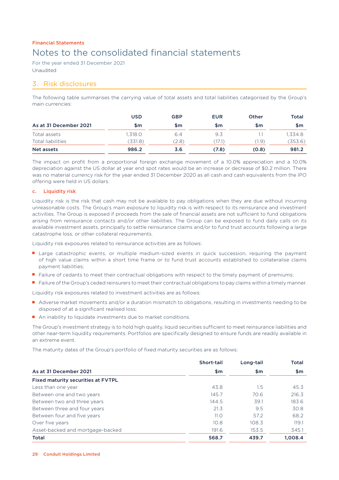For the year ended 31 December 2021 Unaudited

## 3. Risk disclosures

The following table summarises the carrying value of total assets and total liabilities categorised by the Group's main currencies:

|                        | <b>USD</b> | <b>GBP</b> | <b>EUR</b> | Other | <b>Total</b> |
|------------------------|------------|------------|------------|-------|--------------|
| As at 31 December 2021 | \$m        | \$m        | \$m        | \$m   | \$m          |
| Total assets           | 1.318.0    | 6.4        | 9.3        |       | 1.334.8      |
| Total liabilities      | (331.8)    | (2.8)      | (17.1)     | (1.9) | (353.6)      |
| Net assets             | 986.2      | 3.6        | (7.8)      | (0.8) | 981.2        |

The impact on profit from a proportional foreign exchange movement of a 10.0% appreciation and a 10.0% depreciation against the US dollar at year end spot rates would be an increase or decrease of \$0.2 million. There was no material currency risk for the year ended 31 December 2020 as all cash and cash equivalents from the IPO offering were held in US dollars.

### c. Liquidity risk

Liquidity risk is the risk that cash may not be available to pay obligations when they are due without incurring unreasonable costs. The Group's main exposure to liquidity risk is with respect to its reinsurance and investment activities. The Group is exposed if proceeds from the sale of financial assets are not sufficient to fund obligations arising from reinsurance contacts and/or other liabilities. The Group can be exposed to fund daily calls on its available investment assets, principally to settle reinsurance claims and/or to fund trust accounts following a large catastrophe loss, or other collateral requirements.

Liquidity risk exposures related to reinsurance activities are as follows:

- Large catastrophic events, or multiple medium-sized events in quick succession, requiring the payment of high value claims within a short time frame or to fund trust accounts established to collateralise claims payment liabilities;
- Failure of cedants to meet their contractual obligations with respect to the timely payment of premiums;
- Failure of the Group's ceded reinsurers to meet their contractual obligations to pay claims within a timely manner.

Liquidity risk exposures related to investment activities are as follows:

- Adverse market movements and/or a duration mismatch to obligations, resulting in investments needing to be disposed of at a significant realised loss;
- An inability to liquidate investments due to market conditions.

The Group's investment strategy is to hold high quality, liquid securities sufficient to meet reinsurance liabilities and other near-term liquidity requirements. Portfolios are specifically designed to ensure funds are readily available in an extreme event.

The maturity dates of the Group's portfolio of fixed maturity securities are as follows:

|                                           | <b>Short-tail</b> | Long-tail | <b>Total</b> |
|-------------------------------------------|-------------------|-----------|--------------|
| As at 31 December 2021                    | \$m               | \$m       | \$m\$        |
| <b>Fixed maturity securities at FVTPL</b> |                   |           |              |
| Less than one year                        | 43.8              | 1.5       | 45.3         |
| Between one and two years                 | 145.7             | 70.6      | 216.3        |
| Between two and three years               | 144.5             | 39.1      | 183.6        |
| Between three and four years              | 21.3              | 9.5       | 30.8         |
| Between four and five years               | 11.0              | 57.2      | 68.2         |
| Over five years                           | 10.8              | 108.3     | 119.1        |
| Asset-backed and mortgage-backed          | 191.6             | 153.5     | 345.1        |
| <b>Total</b>                              | 568.7             | 439.7     | 1.008.4      |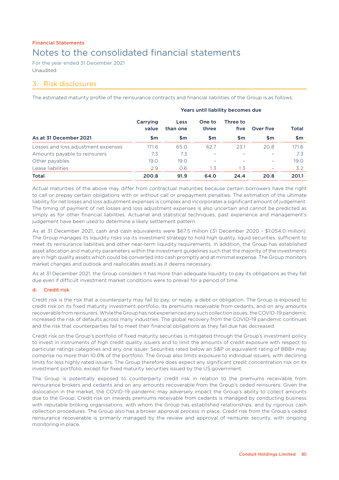For the year ended 31 December 2021 Unaudited

### 3. Risk disclosures

The estimated maturity profile of the reinsurance contracts and financial liabilities of the Group is as follows:

|                                     | Tears and naphily becomes aac |                  |                 |                  |           |       |
|-------------------------------------|-------------------------------|------------------|-----------------|------------------|-----------|-------|
|                                     | Carrying<br>value             | Less<br>than one | One to<br>three | Three to<br>five | Over five | Total |
| As at 31 December 2021              | \$m                           | \$m              | \$m\$           | \$m              | \$m       | \$m   |
| Losses and loss adjustment expenses | 171.6                         | 65.0             | 62.7            | 23.1             | 20.8      | 171.6 |
| Amounts payable to reinsurers       | 7.3                           | 7.3              |                 |                  | -         | 7.3   |
| Other payables                      | 19.0                          | 19.0             |                 |                  |           | 19.0  |
| Lease liabilities                   | 2.9                           | 0.6              | 1.3             | 1.3              | Ξ.        | 3.2   |
| <b>Total</b>                        | 200.8                         | 91.9             | 64.0            | 24.4             | 20.8      | 201.1 |

Years until liability becomes due

Actual maturities of the above may differ from contractual maturities because certain borrowers have the right to call or prepay certain obligations with or without call or prepayment penalties. The estimation of the ultimate liability for net losses and loss adjustment expenses is complex and incorporates a significant amount of judgement. The timing of payment of net losses and loss adjustment expenses is also uncertain and cannot be predicted as simply as for other financial liabilities. Actuarial and statistical techniques, past experience and management's judgement have been used to determine a likely settlement pattern.

As at 31 December 2021, cash and cash equivalents were \$67.5 million (31 December 2020 - \$1,054.0 million). The Group manages its liquidity risks via its investment strategy to hold high quality, liquid securities, sufficient to meet its reinsurance liabilities and other near-term liquidity requirements. In addition, the Group has established asset allocation and maturity parameters within the investment guidelines such that the majority of the investments are in high quality assets which could be converted into cash promptly and at minimal expense. The Group monitors market changes and outlook and reallocates assets as it deems necessary.

As at 31 December 2021, the Group considers it has more than adequate liquidity to pay its obligations as they fall due even if difficult investment market conditions were to prevail for a period of time.

### d. Credit risk

Credit risk is the risk that a counterparty may fail to pay, or repay, a debt or obligation. The Group is exposed to credit risk on its fixed maturity investment portfolio, its premiums receivable from cedants, and on any amounts recoverable from reinsurers. While the Group has not experienced any such collection issues, the COVID-19 pandemic increased the risk of defaults across many industries. The global recovery from the COVID-19 pandemic continues and the risk that counterparties fail to meet their financial obligations as they fall due has decreased.

Credit risk on the Group's portfolio of fixed maturity securities is mitigated through the Group's investment policy to invest in instruments of high credit quality issuers and to limit the amounts of credit exposure with respect to particular ratings categories and any one issuer. Securities rated below an S&P or equivalent rating of BBB+ may comprise no more than 10.0% of the portfolio. The Group also limits exposure to individual issuers, with declining limits for less highly rated issuers. The Group therefore does expect any significant credit concentration risk on its investment portfolio, except for fixed maturity securities issued by the US government.

The Group is potentially exposed to counterparty credit risk in relation to the premiums receivable from reinsurance brokers and cedants and on any amounts recoverable from the Group's ceded reinsurers. Given the dislocation in the market, the COVID-19 pandemic may adversely impact the Group's ability to collect amounts due to the Group. Credit risk on inwards premiums receivable from cedants is managed by conducting business with reputable broking organisations, with whom the Group has established relationships, and by rigorous cash collection procedures. The Group also has a broker approval process in place. Credit risk from the Group's ceded reinsurance recoverable is primarily managed by the review and approval of reinsurer security, with ongoing monitoring in place.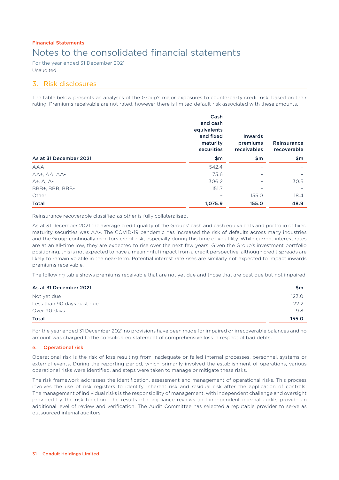For the year ended 31 December 2021 Unaudited

### 3. Risk disclosures

The table below presents an analyses of the Group's major exposures to counterparty credit risk, based on their rating. Premiums receivable are not rated, however there is limited default risk associated with these amounts.

|                        | Cash<br>and cash<br>equivalents<br>and fixed<br>maturity<br>securities | <b>Inwards</b><br>premiums<br>receivables | Reinsurance<br>recoverable |
|------------------------|------------------------------------------------------------------------|-------------------------------------------|----------------------------|
| As at 31 December 2021 | \$m\$                                                                  | \$m\$                                     | \$m\$                      |
| <b>AAA</b>             | 542.4                                                                  | -                                         | $\overline{\phantom{0}}$   |
| AA+, AA, AA-           | 75.6                                                                   |                                           |                            |
| $A^+$ , $A$ , $A^-$    | 306.2                                                                  | $\overline{\phantom{0}}$                  | 30.5                       |
| BBB+, BBB, BBB-        | 151.7                                                                  | -                                         |                            |
| Other                  |                                                                        | 155.0                                     | 18.4                       |
| <b>Total</b>           | 1,075.9                                                                | 155.0                                     | 48.9                       |

Reinsurance recoverable classified as other is fully collateralised.

As at 31 December 2021 the average credit quality of the Groups' cash and cash equivalents and portfolio of fixed maturity securities was AA-. The COVID-19 pandemic has increased the risk of defaults across many industries and the Group continually monitors credit risk, especially during this time of volatility. While current interest rates are at an all-time low, they are expected to rise over the next few years. Given the Group's investment portfolio positioning, this is not expected to have a meaningful impact from a credit perspective, although credit spreads are likely to remain volatile in the near-term. Potential interest rate rises are similarly not expected to impact inwards premiums receivable.

The following table shows premiums receivable that are not yet due and those that are past due but not impaired:

### $\Delta$ s at 31 December 2021  $\blacksquare$

|                            | .     |
|----------------------------|-------|
| Not yet due                | 123.0 |
| Less than 90 days past due | 22.2  |
| Over 90 days               | 9.8   |
| <b>Total</b>               | 155.0 |
|                            |       |

For the year ended 31 December 2021 no provisions have been made for impaired or irrecoverable balances and no amount was charged to the consolidated statement of comprehensive loss in respect of bad debts.

### e. Operational risk

Operational risk is the risk of loss resulting from inadequate or failed internal processes, personnel, systems or external events. During the reporting period, which primarily involved the establishment of operations, various operational risks were identified, and steps were taken to manage or mitigate these risks.

The risk framework addresses the identification, assessment and management of operational risks. This process involves the use of risk registers to identify inherent risk and residual risk after the application of controls. The management of individual risks is the responsibility of management, with independent challenge and oversight provided by the risk function. The results of compliance reviews and independent internal audits provide an additional level of review and verification. The Audit Committee has selected a reputable provider to serve as outsourced internal auditors.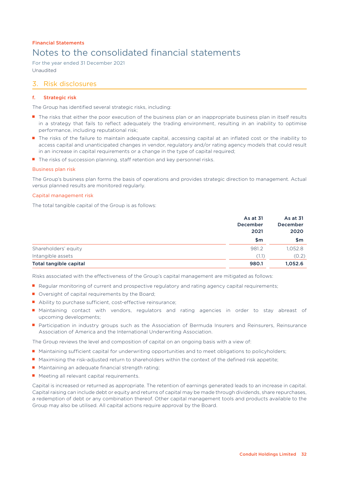For the year ended 31 December 2021 Unaudited

### 3. Risk disclosures

### f. Strategic risk

The Group has identified several strategic risks, including:

- The risks that either the poor execution of the business plan or an inappropriate business plan in itself results in a strategy that fails to reflect adequately the trading environment, resulting in an inability to optimise performance, including reputational risk;
- The risks of the failure to maintain adequate capital, accessing capital at an inflated cost or the inability to access capital and unanticipated changes in vendor, regulatory and/or rating agency models that could result in an increase in capital requirements or a change in the type of capital required;
- The risks of succession planning, staff retention and key personnel risks.

### Business plan risk

The Group's business plan forms the basis of operations and provides strategic direction to management. Actual *versus* planned results are monitored regularly.

### Capital management risk

The total tangible capital of the Group is as follows:

|                        | As at 31<br>December | As at 31<br><b>December</b> |
|------------------------|----------------------|-----------------------------|
|                        | 2021                 | 2020<br>\$m                 |
|                        | \$m                  |                             |
| Shareholders' equity   | 981.2                | 1,052.8                     |
| Intangible assets      | (1.1)                | (0.2)                       |
| Total tangible capital | 980.1                | 1,052.6                     |

Risks associated with the effectiveness of the Group's capital management are mitigated as follows:

- Regular monitoring of current and prospective regulatory and rating agency capital requirements;
- Oversight of capital requirements by the Board;
- Ability to purchase sufficient, cost-effective reinsurance;
- Maintaining contact with vendors, regulators and rating agencies in order to stay abreast of upcoming developments;
- Participation in industry groups such as the Association of Bermuda Insurers and Reinsurers, Reinsurance Association of America and the International Underwriting Association.

The Group reviews the level and composition of capital on an ongoing basis with a view of:

- Maintaining sufficient capital for underwriting opportunities and to meet obligations to policyholders;
- Maximising the risk-adjusted return to shareholders within the context of the defined risk appetite;
- Maintaining an adequate financial strength rating;
- Meeting all relevant capital requirements.

Capital is increased or returned as appropriate. The retention of earnings generated leads to an increase in capital. Capital raising can include debt or equity and returns of capital may be made through dividends, share repurchases, a redemption of debt or any combination thereof. Other capital management tools and products available to the Group may also be utilised. All capital actions require approval by the Board.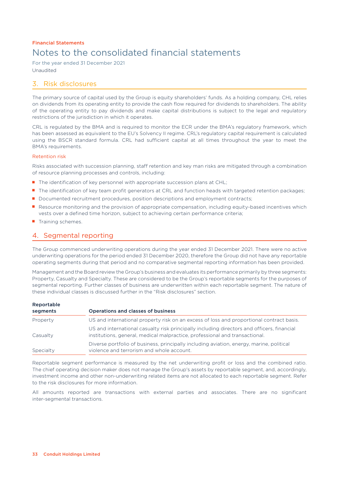For the year ended 31 December 2021 Unaudited

### 3. Risk disclosures

The primary source of capital used by the Group is equity shareholders' funds. As a holding company, CHL relies on dividends from its operating entity to provide the cash flow required for dividends to shareholders. The ability of the operating entity to pay dividends and make capital distributions is subject to the legal and regulatory restrictions of the jurisdiction in which it operates.

CRL is regulated by the BMA and is required to monitor the ECR under the BMA's regulatory framework, which has been assessed as equivalent to the EU's Solvency II regime. CRL's regulatory capital requirement is calculated using the BSCR standard formula. CRL had sufficient capital at all times throughout the year to meet the BMA's requirements.

### Retention risk

Risks associated with succession planning, staff retention and key man risks are mitigated through a combination of resource planning processes and controls, including:

- The identification of key personnel with appropriate succession plans at CHL;
- The identification of key team profit generators at CRL and function heads with targeted retention packages;
- Documented recruitment procedures, position descriptions and employment contracts;
- Resource monitoring and the provision of appropriate compensation, including equity-based incentives which vests over a defined time horizon, subject to achieving certain performance criteria;
- Training schemes.

## 4. Segmental reporting

The Group commenced underwriting operations during the year ended 31 December 2021. There were no active underwriting operations for the period ended 31 December 2020, therefore the Group did not have any reportable operating segments during that period and no comparative segmental reporting information has been provided.

Management and the Board review the Group's business and evaluates its performance primarily by three segments: Property, Casualty and Specialty. These are considered to be the Group's reportable segments for the purposes of segmental reporting. Further classes of business are underwritten within each reportable segment. The nature of these individual classes is discussed further in the "Risk disclosures" section.

| Reportable |                                                                                                                                                                           |
|------------|---------------------------------------------------------------------------------------------------------------------------------------------------------------------------|
| segments   | <b>Operations and classes of business</b>                                                                                                                                 |
| Property   | US and international property risk on an excess of loss and proportional contract basis.                                                                                  |
| Casualty   | US and international casualty risk principally including directors and officers, financial<br>institutions, general, medical malpractice, professional and transactional. |
| Specialty  | Diverse portfolio of business, principally including aviation, energy, marine, political<br>violence and terrorism and whole account.                                     |

Reportable segment performance is measured by the net underwriting profit or loss and the combined ratio. The chief operating decision maker does not manage the Group's assets by reportable segment, and, accordingly, investment income and other non-underwriting related items are not allocated to each reportable segment. Refer to the risk disclosures for more information.

All amounts reported are transactions with external parties and associates. There are no significant inter-segmental transactions.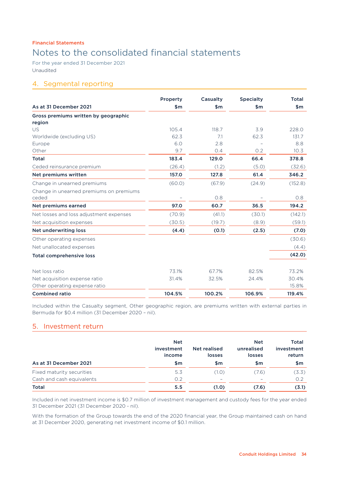# Notes to the consolidated financial statements

For the year ended 31 December 2021 Unaudited

### 4. Segmental reporting

|                                         | Property                 | Casualty | <b>Specialty</b> | <b>Total</b> |
|-----------------------------------------|--------------------------|----------|------------------|--------------|
| As at 31 December 2021                  | $\mathsf{sm}$            | \$m      | $\mathsf{sm}$    | \$m\$        |
| Gross premiums written by geographic    |                          |          |                  |              |
| region                                  |                          |          |                  |              |
| <b>US</b>                               | 105.4                    | 118.7    | 3.9              | 228.0        |
| Worldwide (excluding US)                | 62.3                     | 7.1      | 62.3             | 131.7        |
| Europe                                  | 6.0                      | 2.8      |                  | 8.8          |
| Other                                   | 9.7                      | 0.4      | O.2              | 10.3         |
| <b>Total</b>                            | 183.4                    | 129.0    | 66.4             | 378.8        |
| Ceded reinsurance premium               | (26.4)                   | (1.2)    | (5.0)            | (32.6)       |
| Net premiums written                    | 157.0                    | 127.8    | 61.4             | 346.2        |
| Change in unearned premiums             | (60.0)                   | (67.9)   | (24.9)           | (152.8)      |
| Change in unearned premiums on premiums |                          |          |                  |              |
| ceded                                   | $\overline{\phantom{0}}$ | O.8      |                  | 0.8          |
| Net premiums earned                     | 97.0                     | 60.7     | 36.5             | 194.2        |
| Net losses and loss adjustment expenses | (70.9)                   | (41.1)   | (30.1)           | (142.1)      |
| Net acquisition expenses                | (30.5)                   | (19.7)   | (8.9)            | (59.1)       |
| Net underwriting loss                   | (4.4)                    | (0.1)    | (2.5)            | (7.0)        |
| Other operating expenses                |                          |          |                  | (30.6)       |
| Net unallocated expenses                |                          |          |                  | (4.4)        |
| <b>Total comprehensive loss</b>         |                          |          |                  | (42.0)       |
| Net loss ratio                          | 73.1%                    | 67.7%    | 82.5%            | 73.2%        |
| Net acquisition expense ratio           | 31.4%                    | 32.5%    | 24.4%            | 30.4%        |
| Other operating expense ratio           |                          |          |                  | 15.8%        |
| <b>Combined ratio</b>                   | 104.5%                   | 100.2%   | 106.9%           | 119.4%       |

Included within the Casualty segment, Other geographic region, are premiums written with external parties in Bermuda for \$0.4 million (31 December 2020 – nil).

### 5. Investment return

|                           | <b>Net</b><br>investment<br>income | Net realised<br>losses | <b>Net</b><br>unrealised<br>losses | Total<br>investment<br>return |
|---------------------------|------------------------------------|------------------------|------------------------------------|-------------------------------|
| As at 31 December 2021    | \$m                                | \$m                    | \$m                                | \$m                           |
| Fixed maturity securities | 5.3                                | (1.0)                  | (7.6)                              | (3.3)                         |
| Cash and cash equivalents | O.2                                | -                      | $\overline{\phantom{a}}$           | O.2                           |
| <b>Total</b>              | 5.5                                | (1.0)                  | (7.6)                              | (3.1)                         |

Included in net investment income is \$0.7 million of investment management and custody fees for the year ended 31 December 2021 (31 December 2020 - nil).

With the formation of the Group towards the end of the 2020 financial year, the Group maintained cash on hand at 31 December 2020, generating net investment income of \$0.1 million.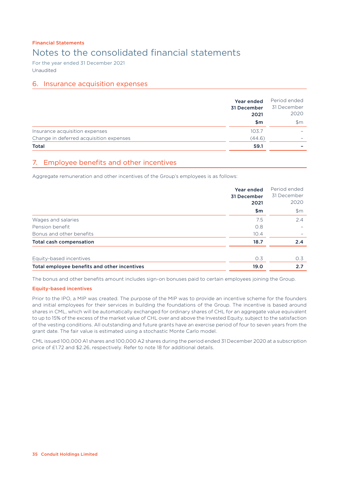For the year ended 31 December 2021 Unaudited

### 6. Insurance acquisition expenses

|                                         | Year ended<br>31 December<br>2021 | Period ended<br>31 December<br>2020 |
|-----------------------------------------|-----------------------------------|-------------------------------------|
|                                         | \$m                               | $\mathsf{S}$ m                      |
| Insurance acquisition expenses          | 103.7                             | -                                   |
| Change in deferred acquisition expenses | (44.6)                            |                                     |
| <b>Total</b>                            | 59.1                              |                                     |

## 7. Employee benefits and other incentives

Aggregate remuneration and other incentives of the Group's employees is as follows:

|                                              | Year ended<br>31 December<br>2021 | Period ended<br>31 December<br>2020 |
|----------------------------------------------|-----------------------------------|-------------------------------------|
|                                              | \$m\$                             | \$m\$                               |
| Wages and salaries                           | 7.5                               | 2.4                                 |
| Pension benefit                              | O.8                               |                                     |
| Bonus and other benefits                     | 10.4                              | $\overline{\phantom{0}}$            |
| <b>Total cash compensation</b>               | 18.7                              | 2.4                                 |
| Equity-based incentives                      | 0.3                               | 0.3                                 |
| Total employee benefits and other incentives | 19.0                              | 2.7                                 |

The bonus and other benefits amount includes sign-on bonuses paid to certain employees joining the Group.

### Equity-based incentives

Prior to the IPO, a MIP was created. The purpose of the MIP was to provide an incentive scheme for the founders and initial employees for their services in building the foundations of the Group. The incentive is based around shares in CML, which will be automatically exchanged for ordinary shares of CHL for an aggregate value equivalent to up to 15% of the excess of the market value of CHL over and above the Invested Equity, subject to the satisfaction of the vesting conditions. All outstanding and future grants have an exercise period of four to seven years from the grant date. The fair value is estimated using a stochastic Monte Carlo model.

CML issued 100,000 A1 shares and 100,000 A2 shares during the period ended 31 December 2020 at a subscription price of £1.72 and \$2.26, respectively. Refer to note 18 for additional details.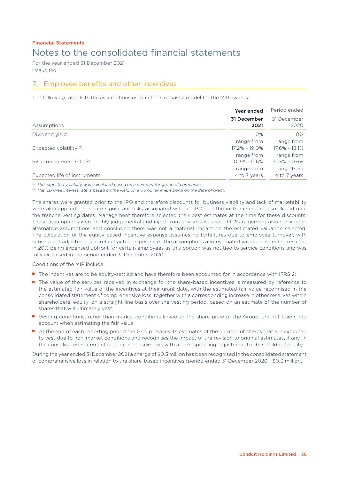For the year ended 31 December 2021 Unaudited

## 7. Employee benefits and other incentives

The following table lists the assumptions used in the stochastic model for the MIP awards:

|                                    | Year ended                    | Period ended                  |
|------------------------------------|-------------------------------|-------------------------------|
| Assumptions                        | 31 December<br>2021           | 31 December<br>2020           |
| Dividend yield                     | $O\%$<br>range from           | $O\%$<br>range from           |
| Expected volatility <sup>(1)</sup> | $17.2\% - 19.0\%$             | $17.6\% - 18.1\%$             |
| Risk-free interest rate (2)        | range from<br>$0.3\% - 0.6\%$ | range from<br>$0.3\% - 0.6\%$ |
|                                    | range from                    | range from                    |
| Expected life of instruments       | 4 to 7 years                  | 4 to 7 years                  |

*(1) The expected volatility was calculated based on a comparator group of companies.*

*(2) The risk-free interest rate is based on the yield on a US government bond on the date of grant.*

The shares were granted prior to the IPO and therefore discounts for business viability and lack of marketability were also applied. There are significant risks associated with an IPO and the instruments are also illiquid until the tranche vesting dates. Management therefore selected their best estimates at the time for these discounts. These assumptions were highly judgemental and input from advisors was sought. Management also considered alternative assumptions and concluded there was not a material impact on the estimated valuation selected. The calculation of the equity-based incentive expense assumes no forfeitures due to employee turnover, with subsequent adjustments to reflect actual experience. The assumptions and estimated valuation selected resulted in 20% being expensed upfront for certain employees as this portion was not tied to service conditions and was fully expensed in the period ended 31 December 2020.

Conditions of the MIP include:

- The incentives are to be equity-settled and have therefore been accounted for in accordance with IFRS 2;
- The value of the services received in exchange for the share-based incentives is measured by reference to the estimated fair value of the incentives at their grant date, with the estimated fair value recognised in the consolidated statement of comprehensive loss, together with a corresponding increase in other reserves within shareholders' equity, on a straight-line basis over the vesting period, based on an estimate of the number of shares that will ultimately vest;
- Vesting conditions, other than market conditions linked to the share price of the Group, are not taken into account when estimating the fair value;
- At the end of each reporting period the Group revises its estimates of the number of shares that are expected to vest due to non-market conditions and recognises the impact of the revision to original estimates, if any, in the consolidated statement of comprehensive loss, with a corresponding adjustment to shareholders' equity.

During the year ended 31 December 2021 a charge of \$0.3 million has been recognised in the consolidated statement of comprehensive loss in relation to the share-based incentives (period ended 31 December 2020 - \$0.3 million).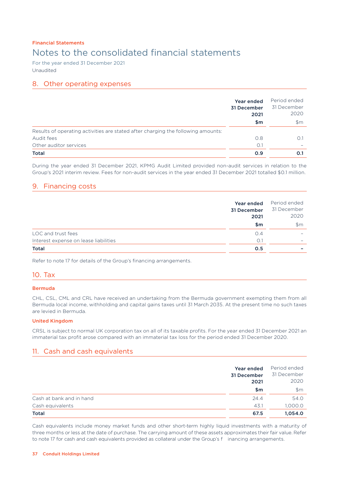# Notes to the consolidated financial statements

For the year ended 31 December 2021 Unaudited

### 8. Other operating expenses

|                                                                                  | Year ended<br>31 December<br>2021 | Period ended<br>31 December<br>2020 |
|----------------------------------------------------------------------------------|-----------------------------------|-------------------------------------|
|                                                                                  | \$m                               | $\mathsf{Sm}$                       |
| Results of operating activities are stated after charging the following amounts: |                                   |                                     |
| Audit fees                                                                       | O.8                               | 0.1                                 |
| Other auditor services                                                           | O.1                               |                                     |
| <b>Total</b>                                                                     | 0.9                               | 0.1                                 |

During the year ended 31 December 2021, KPMG Audit Limited provided non-audit services in relation to the Group's 2021 interim review. Fees for non-audit services in the year ended 31 December 2021 totalled \$0.1 million.

### 9. Financing costs

|                                       | <b>Year ended</b><br>31 December<br>2021 | Period ended<br>31 December<br>2020 |
|---------------------------------------|------------------------------------------|-------------------------------------|
|                                       | \$m                                      | $\mathsf{Sm}$                       |
| LOC and trust fees                    | O.4                                      | $\overline{\phantom{0}}$            |
| Interest expense on lease liabilities | O.1                                      | $\overline{\phantom{0}}$            |
| Total                                 | 0.5                                      |                                     |

Refer to note 17 for details of the Group's financing arrangements.

### 10. Tax

### Bermuda

CHL, CSL, CML and CRL have received an undertaking from the Bermuda government exempting them from all Bermuda local income, withholding and capital gains taxes until 31 March 2035. At the present time no such taxes are levied in Bermuda.

### United Kingdom

CRSL is subject to normal UK corporation tax on all of its taxable profits. For the year ended 31 December 2021 an immaterial tax profit arose compared with an immaterial tax loss for the period ended 31 December 2020.

### 11. Cash and cash equivalents

|                          | Year ended<br>31 December<br>2021 | Period ended<br>31 December<br>2020 |
|--------------------------|-----------------------------------|-------------------------------------|
|                          | \$m                               | \$m\$                               |
| Cash at bank and in hand | 24.4                              | 54.0                                |
| Cash equivalents         | 43.1                              | 1,000.0                             |
| Total                    | 67.5                              | 1,054.0                             |

Cash equivalents include money market funds and other short-term highly liquid investments with a maturity of three months or less at the date of purchase. The carrying amount of these assets approximates their fair value. Refer to note 17 for cash and cash equivalents provided as collateral under the Group's f inancing arrangements.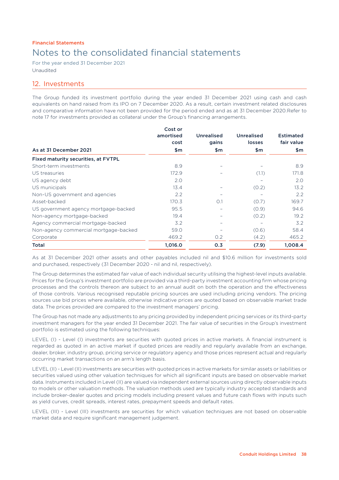For the year ended 31 December 2021 Unaudited

### 12. Investments

The Group funded its investment portfolio during the year ended 31 December 2021 using cash and cash equivalents on hand raised from its IPO on 7 December 2020. As a result, certain investment related disclosures and comparative information have not been provided for the period ended and as at 31 December 2020.Refer to note 17 for investments provided as collateral under the Group's financing arrangements.

|                                       | Cost or<br>amortised<br>cost | <b>Unrealised</b><br>gains | <b>Unrealised</b><br>losses | <b>Estimated</b><br>fair value |
|---------------------------------------|------------------------------|----------------------------|-----------------------------|--------------------------------|
| As at 31 December 2021                | \$m                          | \$m\$                      | \$m                         | \$m                            |
| Fixed maturity securities, at FVTPL   |                              |                            |                             |                                |
| Short-term investments                | 8.9                          |                            |                             | 8.9                            |
| US treasuries                         | 172.9                        |                            | (1.1)                       | 171.8                          |
| US agency debt                        | 2.0                          |                            |                             | 2.0                            |
| US municipals                         | 13.4                         |                            | (0.2)                       | 13.2                           |
| Non-US government and agencies        | 2.2                          |                            |                             | $2.2^{\circ}$                  |
| Asset-backed                          | 170.3                        | O.1                        | (0.7)                       | 169.7                          |
| US government agency mortgage-backed  | 95.5                         |                            | (0.9)                       | 94.6                           |
| Non-agency mortgage-backed            | 19.4                         |                            | (0.2)                       | 19.2                           |
| Agency commercial mortgage-backed     | 3.2                          |                            |                             | 3.2                            |
| Non-agency commercial mortgage-backed | 59.0                         |                            | (0.6)                       | 58.4                           |
| Corporate                             | 469.2                        | O.2                        | (4.2)                       | 465.2                          |
| <b>Total</b>                          | 1,016.0                      | 0.3                        | (7.9)                       | 1.008.4                        |

As at 31 December 2021 other assets and other payables included nil and \$10.6 million for investments sold and purchased, respectively (31 December 2020 - nil and nil, respectively).

The Group determines the estimated fair value of each individual security utilising the highest-level inputs available. Prices for the Group's investment portfolio are provided via a third-party investment accounting firm whose pricing processes and the controls thereon are subject to an annual audit on both the operation and the effectiveness of those controls. Various recognised reputable pricing sources are used including pricing vendors. The pricing sources use bid prices where available, otherwise indicative prices are quoted based on observable market trade data. The prices provided are compared to the investment managers' pricing.

The Group has not made any adjustments to any pricing provided by independent pricing services or its third-party investment managers for the year ended 31 December 2021. The fair value of securities in the Group's investment portfolio is estimated using the following techniques:

LEVEL (I) - Level (I) investments are securities with quoted prices in active markets. A financial instrument is regarded as quoted in an active market if quoted prices are readily and regularly available from an exchange, dealer, broker, industry group, pricing service or regulatory agency and those prices represent actual and regularly occurring market transactions on an arm's length basis.

LEVEL (II) - Level (II) investments are securities with quoted prices in active markets for similar assets or liabilities or securities valued using other valuation techniques for which all significant inputs are based on observable market data. Instruments included in Level (II) are valued via independent external sources using directly observable inputs to models or other valuation methods. The valuation methods used are typically industry accepted standards and include broker-dealer quotes and pricing models including present values and future cash flows with inputs such as yield curves, credit spreads, interest rates, prepayment speeds and default rates.

LEVEL (III) - Level (III) investments are securities for which valuation techniques are not based on observable market data and require significant management judgement.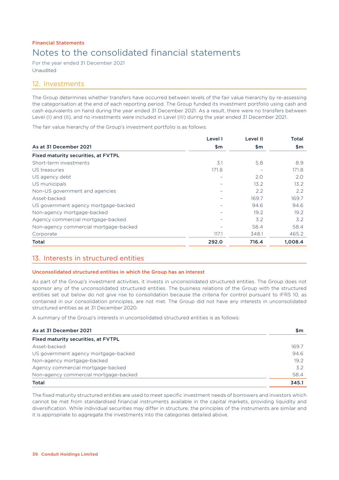For the year ended 31 December 2021 Unaudited

### 12. Investments

The Group determines whether transfers have occurred between levels of the fair value hierarchy by re-assessing the categorisation at the end of each reporting period. The Group funded its investment portfolio using cash and cash equivalents on hand during the year ended 31 December 2021. As a result, there were no transfers between Level (I) and (II), and no investments were included in Level (III) during the year ended 31 December 2021.

The fair value hierarchy of the Group's investment portfolio is as follows:

|                                            | Level I           | Level II | Total   |
|--------------------------------------------|-------------------|----------|---------|
| As at 31 December 2021                     | \$m\$             | \$m      | \$m     |
| <b>Fixed maturity securities, at FVTPL</b> |                   |          |         |
| Short-term investments                     | $\overline{3}$ .1 | 5.8      | 8.9     |
| US treasuries                              | 171.8             |          | 171.8   |
| US agency debt                             |                   | 2.0      | 2.0     |
| US municipals                              |                   | 13.2     | 13.2    |
| Non-US government and agencies             |                   | 2.2      | 2.2     |
| Asset-backed                               |                   | 169.7    | 169.7   |
| US government agency mortgage-backed       |                   | 94.6     | 94.6    |
| Non-agency mortgage-backed                 |                   | 19.2     | 19.2    |
| Agency commercial mortgage-backed          |                   | 3.2      | 3.2     |
| Non-agency commercial mortgage-backed      |                   | 58.4     | 58.4    |
| Corporate                                  | 117.1             | 348.1    | 465.2   |
| <b>Total</b>                               | 292.0             | 716.4    | 1,008.4 |

### 13. Interests in structured entities

### Unconsolidated structured entities in which the Group has an interest

As part of the Group's investment activities, it invests in unconsolidated structured entities. The Group does not sponsor any of the unconsolidated structured entities. The business relations of the Group with the structured entities set out below do not give rise to consolidation because the criteria for control pursuant to IFRS 10, as contained in our consolidation principles, are not met. The Group did not have any interests in unconsolidated structured entities as at 31 December 2020.

A summary of the Group's interests in unconsolidated structured entities is as follows:

| As at 31 December 2021                | \$m   |
|---------------------------------------|-------|
| Fixed maturity securities, at FVTPL   |       |
| Asset-backed                          | 169.7 |
| US government agency mortgage-backed  | 94.6  |
| Non-agency mortgage-backed            | 19.2  |
| Agency commercial mortgage-backed     | 32    |
| Non-agency commercial mortgage-backed | 58.4  |
| <b>Total</b>                          | 345.1 |

The fixed maturity structured entities are used to meet specific investment needs of borrowers and investors which cannot be met from standardised financial instruments available in the capital markets, providing liquidity and diversification. While individual securities may differ in structure, the principles of the instruments are similar and it is appropriate to aggregate the investments into the categories detailed above.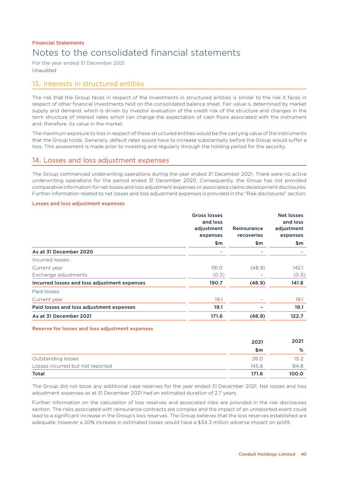For the year ended 31 December 2021 Unaudited

## 13. Interests in structured entities

The risk that the Group faces in respect of the investments in structured entities is similar to the risk it faces in respect of other financial investments held on the consolidated balance sheet. Fair value is determined by market supply and demand, which is driven by investor evaluation of the credit risk of the structure and changes in the term structure of interest rates which can change the expectation of cash flows associated with the instrument and, therefore, its value in the market.

The maximum exposure to loss in respect of these structured entities would be the carrying value of the instruments that the Group holds. Generally, default rates would have to increase substantially before the Group would suffer a loss. This assessment is made prior to investing and regularly through the holding period for the security.

### 14. Losses and loss adjustment expenses

The Group commenced underwriting operations during the year ended 31 December 2021. There were no active underwriting operations for the period ended 31 December 2020. Consequently, the Group has not provided comparative information for net losses and loss adjustment expenses or associated claims development disclosures. Further information related to net losses and loss adjustment expenses is provided in the "Risk disclosures" section.

### Losses and loss adjustment expenses

|                                              | <b>Gross losses</b><br>and loss<br>adjustment<br>expenses<br>\$m | Reinsurance<br>recoveries<br>\$m | Net losses<br>and loss<br>adjustment<br>expenses<br>\$m |
|----------------------------------------------|------------------------------------------------------------------|----------------------------------|---------------------------------------------------------|
| As at 31 December 2020                       |                                                                  |                                  |                                                         |
| Incurred losses:                             |                                                                  |                                  |                                                         |
| Current year                                 | 191.0                                                            | (48.9)                           | 142.1                                                   |
| Exchange adjustments                         | (0.3)                                                            |                                  | (0.3)                                                   |
| Incurred losses and loss adjustment expenses | 190.7                                                            | (48.9)                           | 141.8                                                   |
| Paid losses:                                 |                                                                  |                                  |                                                         |
| Current year                                 | 19.1                                                             | -                                | 19.1                                                    |
| Paid losses and loss adjustment expenses     | 19.1                                                             |                                  | 19.1                                                    |
| As at 31 December 2021                       | 171.6                                                            | (48.9)                           | 122.7                                                   |

### Reserve for losses and loss adjustment expenses

|                                  | 2021  | 2021  |
|----------------------------------|-------|-------|
|                                  | \$m   | %     |
| Outstanding losses               | 26.0  | 15.2  |
| Losses incurred but not reported | 145.6 | 84.8  |
| <b>Total</b>                     | 171.6 | 100.0 |

The Group did not book any additional case reserves for the year ended 31 December 2021. Net losses and loss adjustment expenses as at 31 December 2021 had an estimated duration of 2.7 years.

Further information on the calculation of loss reserves and associated risks are provided in the risk disclosures section. The risks associated with reinsurance contracts are complex and the impact of an unreported event could lead to a significant increase in the Group's loss reserves. The Group believes that the loss reserves established are adequate, however a 20% increase in estimated losses would have a \$34.3 million adverse impact on profit.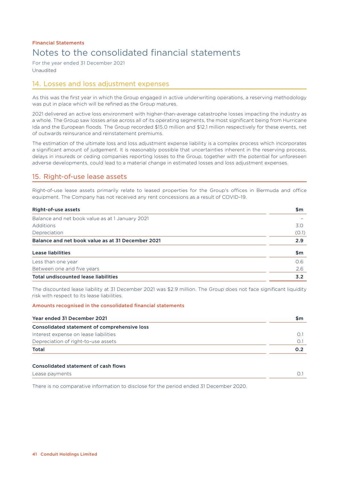For the year ended 31 December 2021 Unaudited

## 14. Losses and loss adjustment expenses

As this was the first year in which the Group engaged in active underwriting operations, a reserving methodology was put in place which will be refined as the Group matures.

2021 delivered an active loss environment with higher-than-average catastrophe losses impacting the industry as a whole. The Group saw losses arise across all of its operating segments, the most significant being from Hurricane Ida and the European floods. The Group recorded \$15.0 million and \$12.1 million respectively for these events, net of outwards reinsurance and reinstatement premiums.

The estimation of the ultimate loss and loss adjustment expense liability is a complex process which incorporates a significant amount of judgement. It is reasonably possible that uncertainties inherent in the reserving process, delays in insureds or ceding companies reporting losses to the Group, together with the potential for unforeseen adverse developments, could lead to a material change in estimated losses and loss adjustment expenses.

## 15. Right-of-use lease assets

Right-of-use lease assets primarily relate to leased properties for the Group's offices in Bermuda and office equipment. The Company has not received any rent concessions as a result of COVID-19.

| Right-of-use assets                               | \$m   |
|---------------------------------------------------|-------|
| Balance and net book value as at 1 January 2021   |       |
| <b>Additions</b>                                  | 3.0   |
| Depreciation                                      | (0.1) |
| Balance and net book value as at 31 December 2021 | 2.9   |
| Lease liabilities                                 | \$m   |
| Less than one year                                | O.6   |
| Between one and five years                        | 2.6   |
| <b>Total undiscounted lease liabilities</b>       | 3.2   |

The discounted lease liability at 31 December 2021 was \$2.9 million. The Group does not face significant liquidity risk with respect to its lease liabilities.

### Amounts recognised in the consolidated financial statements

| Year ended 31 December 2021                  | \$m |
|----------------------------------------------|-----|
| Consolidated statement of comprehensive loss |     |
| Interest expense on lease liabilities        |     |
| Depreciation of right-to-use assets          |     |
| <b>Total</b>                                 | 0.2 |
| <b>Consolidated statement of cash flows</b>  |     |

# Lease payments 0.1

There is no comparative information to disclose for the period ended 31 December 2020.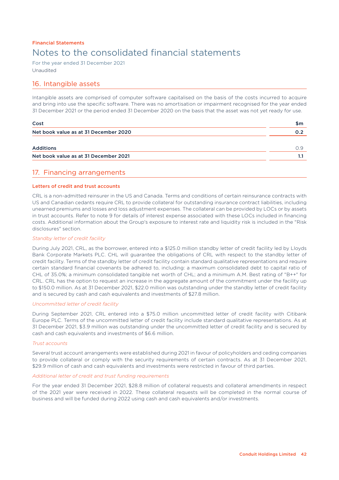For the year ended 31 December 2021 Unaudited

### 16. Intangible assets

Intangible assets are comprised of computer software capitalised on the basis of the costs incurred to acquire and bring into use the specific software. There was no amortisation or impairment recognised for the year ended 31 December 2021 or the period ended 31 December 2020 on the basis that the asset was not yet ready for use.

| Cost                                  |     |
|---------------------------------------|-----|
| Net book value as at 31 December 2020 | 0.2 |
|                                       |     |
| <b>Additions</b>                      | O 9 |
| Net book value as at 31 December 2021 |     |
|                                       |     |

### 17. Financing arrangements

### Letters of credit and trust accounts

CRL is a non-admitted reinsurer in the US and Canada. Terms and conditions of certain reinsurance contracts with US and Canadian cedants require CRL to provide collateral for outstanding insurance contract liabilities, including unearned premiums and losses and loss adjustment expenses. The collateral can be provided by LOCs or by assets in trust accounts. Refer to note 9 for details of interest expense associated with these LOCs included in financing costs. Additional information about the Group's exposure to interest rate and liquidity risk is included in the "Risk disclosures" section.

### *Standby letter of credit facility*

During July 2021, CRL, as the borrower, entered into a \$125.0 million standby letter of credit facility led by Lloyds Bank Corporate Markets PLC. CHL will guarantee the obligations of CRL with respect to the standby letter of credit facility. Terms of the standby letter of credit facility contain standard qualitative representations and require certain standard financial covenants be adhered to, including: a maximum consolidated debt to capital ratio of CHL of 35.0%; a minimum consolidated tangible net worth of CHL; and a minimum A.M. Best rating of "B++" for CRL. CRL has the option to request an increase in the aggregate amount of the commitment under the facility up to \$150.0 million. As at 31 December 2021, \$22.0 million was outstanding under the standby letter of credit facility and is secured by cash and cash equivalents and investments of \$27.8 million.

### *Uncommitted letter of credit facility*

During September 2021, CRL entered into a \$75.0 million uncommitted letter of credit facility with Citibank Europe PLC. Terms of the uncommitted letter of credit facility include standard qualitative representations. As at 31 December 2021, \$3.9 million was outstanding under the uncommitted letter of credit facility and is secured by cash and cash equivalents and investments of \$6.6 million.

### *Trust accounts*

Several trust account arrangements were established during 2021 in favour of policyholders and ceding companies to provide collateral or comply with the security requirements of certain contracts. As at 31 December 2021, \$29.9 million of cash and cash equivalents and investments were restricted in favour of third parties.

### *Additional letter of credit and trust funding requirements*

For the year ended 31 December 2021, \$28.8 million of collateral requests and collateral amendments in respect of the 2021 year were received in 2022. These collateral requests will be completed in the normal course of business and will be funded during 2022 using cash and cash equivalents and/or investments.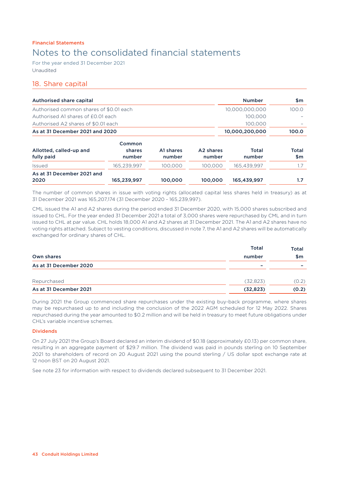For the year ended 31 December 2021 Unaudited

## 18. Share capital

| Authorised share capital                |                  |           |                       | <b>Number</b>  | \$m          |
|-----------------------------------------|------------------|-----------|-----------------------|----------------|--------------|
| Authorised common shares of \$0.01 each |                  |           |                       | 10.000.000.000 | 100.0        |
| Authorised A1 shares of £0.01 each      |                  |           |                       | 100.000        |              |
| Authorised A2 shares of \$0.01 each     |                  |           |                       | 100.000        |              |
| As at 31 December 2021 and 2020         |                  |           |                       | 10.000.200.000 | 100.0        |
| Allotted, called-up and                 | Common<br>shares | A1 shares | A <sub>2</sub> shares | Total          | <b>Total</b> |
| fully paid                              | number           | number    | number                | number         | \$m          |
| <b>Issued</b>                           | 165.239.997      | 100.000   | 100.000               | 165.439.997    | 1.7          |
| As at 31 December 2021 and<br>2020      | 165,239,997      | 100,000   | 100,000               | 165,439,997    | 1.7          |

The number of common shares in issue with voting rights (allocated capital less shares held in treasury) as at 31 December 2021 was 165,207,174 (31 December 2020 - 165,239,997).

CML issued the A1 and A2 shares during the period ended 31 December 2020, with 15,000 shares subscribed and issued to CHL. For the year ended 31 December 2021 a total of 3,000 shares were repurchased by CML and in turn issued to CHL at par value. CHL holds 18,000 A1 and A2 shares at 31 December 2021. The A1 and A2 shares have no voting rights attached. Subject to vesting conditions, discussed in note 7, the A1 and A2 shares will be automatically exchanged for ordinary shares of CHL.

|                        | <b>Total</b> | <b>Total</b> |
|------------------------|--------------|--------------|
| Own shares             | number       | \$m          |
| As at 31 December 2020 | -            | -            |
| Repurchased            | (32,823)     | (0.2)        |
| As at 31 December 2021 | (32, 823)    | (0.2)        |

During 2021 the Group commenced share repurchases under the existing buy-back programme, where shares may be repurchased up to and including the conclusion of the 2022 AGM scheduled for 12 May 2022. Shares repurchased during the year amounted to \$0.2 million and will be held in treasury to meet future obligations under CHL's variable incentive schemes.

### Dividends

On 27 July 2021 the Group's Board declared an interim dividend of \$0.18 (approximately £0.13) per common share, resulting in an aggregate payment of \$29.7 million. The dividend was paid in pounds sterling on 10 September 2021 to shareholders of record on 20 August 2021 using the pound sterling / US dollar spot exchange rate at 12 noon BST on 20 August 2021.

See note 23 for information with respect to dividends declared subsequent to 31 December 2021.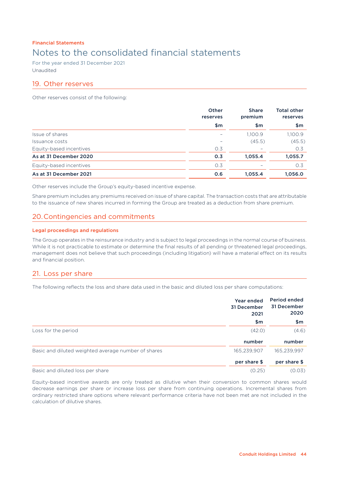For the year ended 31 December 2021 Unaudited

### 19. Other reserves

Other reserves consist of the following:

|                         | Other<br>reserves<br>\$m | <b>Share</b><br>premium<br>\$m | <b>Total other</b><br>reserves<br>\$m |
|-------------------------|--------------------------|--------------------------------|---------------------------------------|
|                         |                          |                                |                                       |
| Issue of shares         | $\overline{\phantom{0}}$ | 1,100.9                        | 1,100.9                               |
| Issuance costs          |                          | (45.5)                         | (45.5)                                |
| Equity-based incentives | 0.3                      |                                | 0.3                                   |
| As at 31 December 2020  | 0.3                      | 1,055.4                        | 1,055.7                               |
| Equity-based incentives | 0.3                      |                                | O.3                                   |
| As at 31 December 2021  | 0.6                      | 1,055.4                        | 1,056.0                               |

Other reserves include the Group's equity-based incentive expense.

Share premium includes any premiums received on issue of share capital. The transaction costs that are attributable to the issuance of new shares incurred in forming the Group are treated as a deduction from share premium.

## 20.Contingencies and commitments

### Legal proceedings and regulations

The Group operates in the reinsurance industry and is subject to legal proceedings in the normal course of business. While it is not practicable to estimate or determine the final results of all pending or threatened legal proceedings, management does not believe that such proceedings (including litigation) will have a material effect on its results and financial position.

### 21. Loss per share

The following reflects the loss and share data used in the basic and diluted loss per share computations:

|                                                     | Year ended<br>31 December<br>2021 | Period ended<br>31 December<br>2020 |
|-----------------------------------------------------|-----------------------------------|-------------------------------------|
|                                                     | \$m                               | \$m                                 |
| Loss for the period                                 | (42.0)                            | (4.6)                               |
|                                                     | number                            | number                              |
| Basic and diluted weighted average number of shares | 165,239,907                       | 165,239,997                         |
|                                                     | per share \$                      | per share \$                        |
| Basic and diluted loss per share                    | (0.25)                            | (0.03)                              |

Equity-based incentive awards are only treated as dilutive when their conversion to common shares would decrease earnings per share or increase loss per share from continuing operations. Incremental shares from ordinary restricted share options where relevant performance criteria have not been met are not included in the calculation of dilutive shares.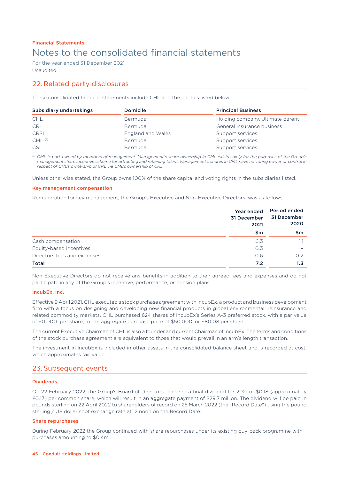For the year ended 31 December 2021 Unaudited

## 22. Related party disclosures

These consolidated financial statements include CHL and the entities listed below:

| Subsidiary undertakings | <b>Domicile</b>          | <b>Principal Business</b>        |
|-------------------------|--------------------------|----------------------------------|
| <b>CHL</b>              | Bermuda                  | Holding company, Ultimate parent |
| <b>CRL</b>              | Bermuda                  | General insurance business       |
| <b>CRSL</b>             | <b>England and Wales</b> | Support services                 |
| $CML$ <sup>(1)</sup>    | Bermuda                  | Support services                 |
| <b>CSL</b>              | Bermuda                  | Support services                 |

*(1) CML is part-owned by members of management. Management's share ownership in CML exists solely for the purposes of the Group's management share incentive scheme for attracting and retaining talent. Management's shares in CML have no voting power or control in respect of CHL's ownership of CRL via CML's ownership of CRL.*

Unless otherwise stated, the Group owns 100% of the share capital and voting rights in the subsidiaries listed.

### Key management compensation

Remuneration for key management, the Group's Executive and Non-Executive Directors, was as follows:

|                             | Year ended<br>31 December<br>2021<br>\$m | <b>Period ended</b><br>31 December<br>2020 |  |
|-----------------------------|------------------------------------------|--------------------------------------------|--|
|                             |                                          | \$m                                        |  |
| Cash compensation           | 6.3                                      |                                            |  |
| Equity-based incentives     | 0.3                                      | $\overline{\phantom{0}}$                   |  |
| Directors fees and expenses | 0.6                                      | O.2                                        |  |
| <b>Total</b>                | 7.2                                      | 1.3                                        |  |

Non-Executive Directors do not receive any benefits in addition to their agreed fees and expenses and do not participate in any of the Group's incentive, performance, or pension plans.

### IncubEx, Inc.

Effective 9 April 2021, CHL executed a stock purchase agreement with IncubEx, a product and business development firm with a focus on designing and developing new financial products in global environmental, reinsurance and related commodity markets. CHL purchased 624 shares of IncubEx's Series A-3 preferred stock, with a par value of \$0.0001 per share, for an aggregate purchase price of \$50,000, or \$80.08 per share.

The current Executive Chairman of CHL is also a founder and current Chairman of IncubEx. The terms and conditions of the stock purchase agreement are equivalent to those that would prevail in an arm's length transaction.

The investment in IncubEx is included in other assets in the consolidated balance sheet and is recorded at cost, which approximates fair value.

### 23. Subsequent events

### Dividends

On 22 February 2022, the Group's Board of Directors declared a final dividend for 2021 of \$0.18 (approximately £0.13) per common share, which will result in an aggregate payment of \$29.7 million. The dividend will be paid in pounds sterling on 22 April 2022 to shareholders of record on 25 March 2022 (the "Record Date") using the pound sterling / US dollar spot exchange rate at 12 noon on the Record Date.

### Share repurchases

During February 2022 the Group continued with share repurchases under its existing buy-back programme with purchases amounting to \$0.4m.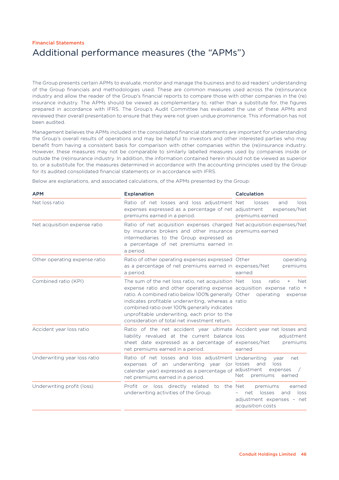## Financial Statements Additional performance measures (the "APMs")

The Group presents certain APMs to evaluate, monitor and manage the business and to aid readers' understanding of the Group financials and methodologies used. These are common measures used across the (re)insurance industry and allow the reader of the Group's financial reports to compare those with other companies in the (re) insurance industry. The APMs should be viewed as complementary to, rather than a substitute for, the figures prepared in accordance with IFRS. The Group's Audit Committee has evaluated the use of these APMs and reviewed their overall presentation to ensure that they were not given undue prominence. This information has not been audited.

Management believes the APMs included in the consolidated financial statements are important for understanding the Group's overall results of operations and may be helpful to investors and other interested parties who may benefit from having a consistent basis for comparison with other companies within the (re)insurance industry. However, these measures may not be comparable to similarly labelled measures used by companies inside or outside the (re)insurance industry. In addition, the information contained herein should not be viewed as superior to, or a substitute for, the measures determined in accordance with the accounting principles used by the Group for its audited consolidated financial statements or in accordance with IFRS.

Below are explanations, and associated calculations, of the APMs presented by the Group:

| <b>APM</b>                    | <b>Explanation</b>                                                                                                                                                                                                                                                                                                                                                                                      | Calculation                                                                                          |
|-------------------------------|---------------------------------------------------------------------------------------------------------------------------------------------------------------------------------------------------------------------------------------------------------------------------------------------------------------------------------------------------------------------------------------------------------|------------------------------------------------------------------------------------------------------|
| Net loss ratio                | Ratio of net losses and loss adjustment Net<br>expenses expressed as a percentage of net adjustment<br>premiums earned in a period.                                                                                                                                                                                                                                                                     | losses<br>loss<br>and<br>expenses/Net<br>premiums earned                                             |
| Net acquisition expense ratio | Ratio of net acquisition expenses charged Net acquisition expenses/Net<br>by insurance brokers and other insurance premiums earned<br>intermediaries to the Group expressed as<br>a percentage of net premiums earned in<br>a period.                                                                                                                                                                   |                                                                                                      |
| Other operating expense ratio | Ratio of other operating expenses expressed Other<br>as a percentage of net premiums earned in expenses/Net<br>a period.                                                                                                                                                                                                                                                                                | operating<br>premiums<br>earned                                                                      |
| Combined ratio (KPI)          | The sum of the net loss ratio, net acquisition Net loss<br>expense ratio and other operating expense acquisition expense ratio +<br>ratio. A combined ratio below 100% generally Other operating<br>indicates profitable underwriting, whereas a ratio<br>combined ratio over 100% generally indicates<br>unprofitable underwriting, each prior to the<br>consideration of total net investment return. | <b>Net</b><br>ratio<br>$^{+}$<br>expense                                                             |
| Accident year loss ratio      | Ratio of the net accident year ultimate Accident year net losses and<br>liability revalued at the current balance loss<br>sheet date expressed as a percentage of expenses/Net<br>net premiums earned in a period.                                                                                                                                                                                      | adjustment<br>premiums<br>earned                                                                     |
| Underwriting year loss ratio  | Ratio of net losses and loss adjustment Underwriting<br>expenses of an underwriting year (or losses<br>calendar year) expressed as a percentage of adjustment<br>net premiums earned in a period.                                                                                                                                                                                                       | net<br>vear<br>loss<br>and<br>expenses<br>premiums<br><b>Net</b><br>earned                           |
| Underwriting profit (loss)    | Profit or loss directly related to the Net<br>underwriting activities of the Group.                                                                                                                                                                                                                                                                                                                     | premiums<br>earned<br>losses<br>and<br>loss<br>net<br>adjustment expenses - net<br>acquisition costs |
|                               |                                                                                                                                                                                                                                                                                                                                                                                                         |                                                                                                      |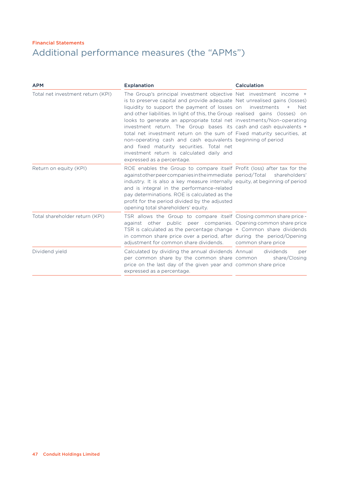## Financial Statements Additional performance measures (the "APMs")

| <b>APM</b>                        | <b>Explanation</b>                                                                                                                                                                                                                                                                                                                                                                                                                                                                                                                                                                                                                                                                               | <b>Calculation</b>                                               |  |
|-----------------------------------|--------------------------------------------------------------------------------------------------------------------------------------------------------------------------------------------------------------------------------------------------------------------------------------------------------------------------------------------------------------------------------------------------------------------------------------------------------------------------------------------------------------------------------------------------------------------------------------------------------------------------------------------------------------------------------------------------|------------------------------------------------------------------|--|
| Total net investment return (KPI) | The Group's principal investment objective Net investment income +<br>is to preserve capital and provide adequate Net unrealised gains (losses)<br>liquidity to support the payment of losses on<br>and other liabilities. In light of this, the Group realised gains (losses) on<br>looks to generate an appropriate total net investments/Non-operating<br>investment return. The Group bases its cash and cash equivalents +<br>total net investment return on the sum of Fixed maturity securities, at<br>non-operating cash and cash equivalents beginning of period<br>and fixed maturity securities. Total net<br>investment return is calculated daily and<br>expressed as a percentage. | investments<br>$+$<br><b>Net</b>                                 |  |
| Return on equity (KPI)            | ROE enables the Group to compare itself Profit (loss) after tax for the<br>against other peer companies in the immediate period/Total<br>industry. It is also a key measure internally equity, at beginning of period<br>and is integral in the performance-related<br>pay determinations. ROE is calculated as the<br>profit for the period divided by the adjusted<br>opening total shareholders' equity.                                                                                                                                                                                                                                                                                      | shareholders'                                                    |  |
| Total shareholder return (KPI)    | TSR allows the Group to compare itself Closing common share price -<br>against other public<br>TSR is calculated as the percentage change + Common share dividends<br>in common share price over a period, after during the period/Opening<br>adjustment for common share dividends.                                                                                                                                                                                                                                                                                                                                                                                                             | peer companies. Opening common share price<br>common share price |  |
| Dividend yield                    | Calculated by dividing the annual dividends Annual<br>per common share by the common share common<br>price on the last day of the given year and common share price<br>expressed as a percentage.                                                                                                                                                                                                                                                                                                                                                                                                                                                                                                | dividends<br>per<br>share/Closing                                |  |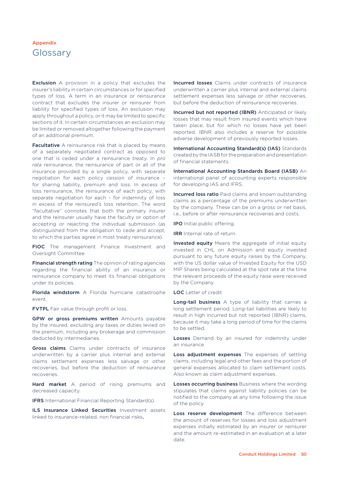## Glossary

**Exclusion** A provision in a policy that excludes the insurer's liability in certain circumstances or for specified types of loss. A term in an insurance or reinsurance contract that excludes the insurer or reinsurer from liability for specified types of loss. An exclusion may apply throughout a policy, or it may be limited to specific sections of it. In certain circumstances an exclusion may be limited or removed altogether following the payment of an additional premium.

Facultative A reinsurance risk that is placed by means of a separately negotiated contract as opposed to one that is ceded under a reinsurance treaty. In *pro rata* reinsurance, the reinsurance of part or all of the insurance provided by a single policy, with separate negotiation for each policy cession of insurance – for sharing liability, premium and loss. In excess of loss reinsurance, the reinsurance of each policy, with separate negotiation for each – for indemnity of loss in excess of the reinsured's loss retention. The word "facultative" connotes that both the primary insurer and the reinsurer usually have the faculty or option of accepting or rejecting the individual submission (as distinguished from the obligation to cede and accept, to which the parties agree in most treaty reinsurance).

FIOC The management Finance Investment and Oversight Committee

Financial strength rating The opinion of rating agencies regarding the financial ability of an insurance or reinsurance company to meet its financial obligations under its policies.

Florida windstorm A Florida hurricane catastrophe event.

FVTPL Fair value through profit or loss.

GPW or gross premiums written Amounts payable by the insured, excluding any taxes or duties levied on the premium, including any brokerage and commission deducted by intermediaries.

Gross claims Claims under contracts of insurance underwritten by a carrier plus internal and external claims settlement expenses less salvage or other recoveries, but before the deduction of reinsurance recoveries.

Hard market A period of rising premiums and decreased capacity.

**IFRS** International Financial Reporting Standard(s).

ILS Insurance Linked Securities Investment assets linked to insurance-related, non financial risks.

Incurred losses Claims under contracts of insurance underwritten a carrier plus internal and external claims settlement expenses less salvage or other recoveries, but before the deduction of reinsurance recoveries.

Incurred but not reported (IBNR) Anticipated or likely losses that may result from insured events which have taken place, but for which no losses have yet been reported. IBNR also includes a reserve for possible adverse development of previously reported losses.

International Accounting Standard(s) (IAS) Standards created by the IASB for the preparation and presentation of financial statements.

International Accounting Standards Board (IASB) An international panel of accounting experts responsible for developing IAS and IFRS.

Incurred loss ratio Paid claims and known outstanding claims as a percentage of the premiums underwritten by the company. These can be on a gross or net basis, i.e., before or after reinsurance recoveries and costs.

IPO Initial public offering.

**IRR** Internal rate of return.

Invested equity Means the aggregate of initial equity invested in CHL on Admission and equity invested pursuant to any future equity raises by the Company, with the US dollar value of Invested Equity for the USD MIP Shares being calculated at the spot rate at the time the relevant proceeds of the equity raise were received by the Company.

LOC Letter of credit

Long-tail business A type of liability that carries a long settlement period. Long-tail liabilities are likely to result in high incurred but not reported (IBNR) claims, because it may take a long period of time for the claims to be settled.

Losses Demand by an insured for indemnity under an insurance

Loss adjustment expenses The expenses of settling claims, including legal and other fees and the portion of general expenses allocated to claim settlement costs. Also known as claim adjustment expenses.

Losses occurring business Business where the wording stipulates that claims against liability policies can be notified to the company at any time following the issue of the policy.

Loss reserve development The difference between the amount of reserves for losses and loss adjustment expenses initially estimated by an insurer or reinsurer and the amount re-estimated in an evaluation at a later date.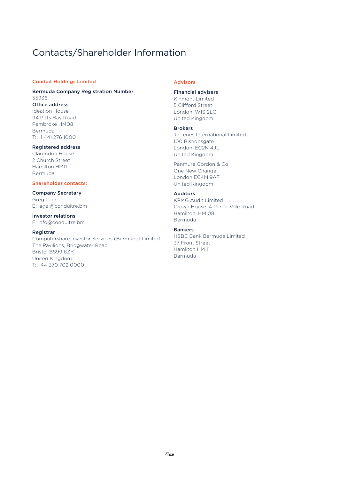## Contacts/Shareholder Information

### Conduit Holdings Limited

### Bermuda Company Registration Number 55936 Office address

Ideation House 94 Pitts Bay Road Pembroke HM08 Bermuda T: +1 441 276 1000

### Registered address

Clarendon House 2 Church Street Hamilton HM11 Bermuda

### Shareholder contacts:

Company Secretary Greg Lunn E: legal@conduitre.bm

#### Investor relations E: info@conduitre.bm

#### Registrar

Computershare Investor Services (Bermuda) Limited The Pavilions, Bridgwater Road Bristol BS99 6ZY United Kingdom T: +44 370 702 0000

### Advisors

### Financial advisers

Kinmont Limited 5 Clifford Street London, W1S 2LG United Kingdom

#### Brokers

Jefferies International Limited 100 Bishopsgate London, EC2N 4JL United Kingdom

Panmure Gordon & Co One New Change London EC4M 9AF United Kingdom

### Auditors

KPMG Audit Limited Crown House, 4 Par-la-Ville Road Hamilton, HM 08 Bermuda

### Bankers

HSBC Bank Bermuda Limited 37 Front Street Hamilton HM 11 Bermuda